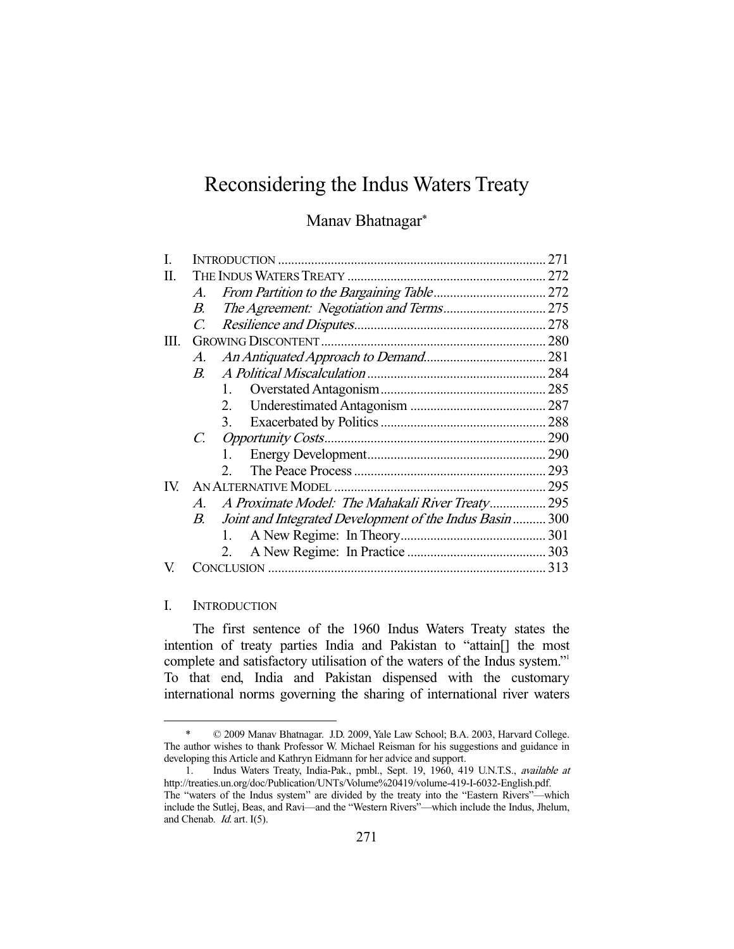# Reconsidering the Indus Waters Treaty

Manav Bhatnagar\*

|      |               |                                                          | 271 |
|------|---------------|----------------------------------------------------------|-----|
| П.   |               |                                                          |     |
|      | A.            |                                                          |     |
|      | B.            |                                                          |     |
|      | $\mathcal{C}$ |                                                          |     |
| III. |               |                                                          |     |
|      | A.            |                                                          |     |
|      | $B_{-}$       |                                                          |     |
|      |               |                                                          |     |
|      |               | 2.                                                       |     |
|      |               | 3.                                                       |     |
|      | $C_{\cdot}$   |                                                          |     |
|      |               | 1.                                                       |     |
|      |               | $2^{\circ}$                                              | 293 |
| IV.  |               |                                                          | 295 |
|      | $A_{\cdot}$   | A Proximate Model: The Mahakali River Treaty 295         |     |
|      | В.            | Joint and Integrated Development of the Indus Basin  300 |     |
|      |               | 1.                                                       |     |
|      |               | 2.                                                       |     |
|      |               |                                                          |     |

# I. INTRODUCTION

-

 The first sentence of the 1960 Indus Waters Treaty states the intention of treaty parties India and Pakistan to "attain[] the most complete and satisfactory utilisation of the waters of the Indus system." To that end, India and Pakistan dispensed with the customary international norms governing the sharing of international river waters

 <sup>\* © 2009</sup> Manav Bhatnagar. J.D. 2009, Yale Law School; B.A. 2003, Harvard College. The author wishes to thank Professor W. Michael Reisman for his suggestions and guidance in developing this Article and Kathryn Eidmann for her advice and support.

 <sup>1.</sup> Indus Waters Treaty, India-Pak., pmbl., Sept. 19, 1960, 419 U.N.T.S., available at http://treaties.un.org/doc/Publication/UNTs/Volume%20419/volume-419-I-6032-English.pdf. The "waters of the Indus system" are divided by the treaty into the "Eastern Rivers"—which include the Sutlej, Beas, and Ravi—and the "Western Rivers"—which include the Indus, Jhelum, and Chenab. Id. art. I(5).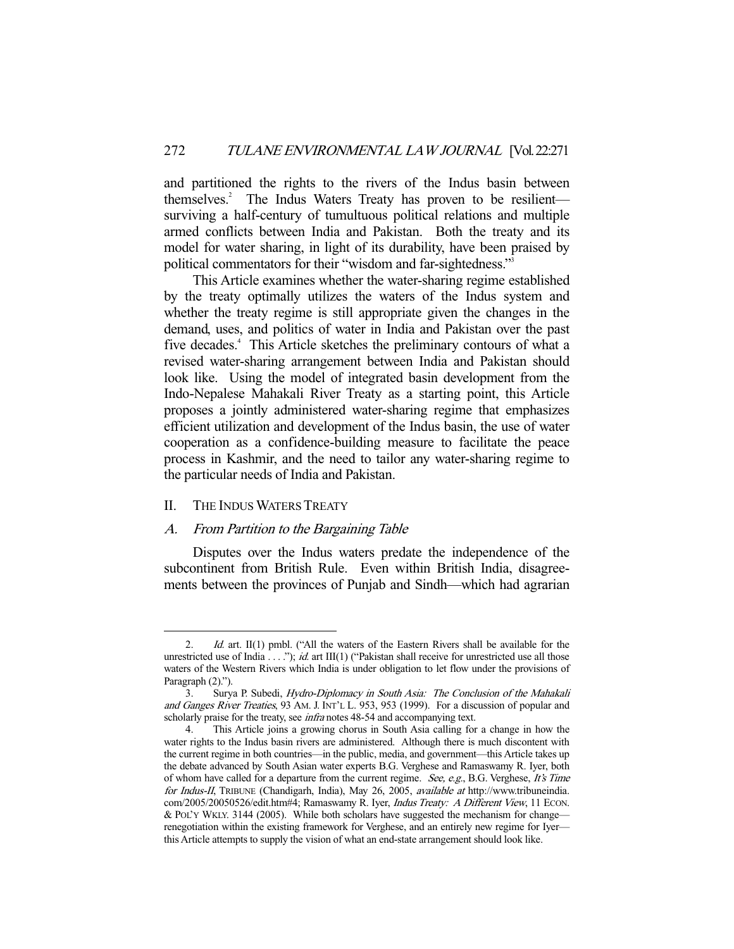and partitioned the rights to the rivers of the Indus basin between themselves.<sup>2</sup> The Indus Waters Treaty has proven to be resilient surviving a half-century of tumultuous political relations and multiple armed conflicts between India and Pakistan. Both the treaty and its model for water sharing, in light of its durability, have been praised by political commentators for their "wisdom and far-sightedness."3

 This Article examines whether the water-sharing regime established by the treaty optimally utilizes the waters of the Indus system and whether the treaty regime is still appropriate given the changes in the demand, uses, and politics of water in India and Pakistan over the past five decades.<sup>4</sup> This Article sketches the preliminary contours of what a revised water-sharing arrangement between India and Pakistan should look like. Using the model of integrated basin development from the Indo-Nepalese Mahakali River Treaty as a starting point, this Article proposes a jointly administered water-sharing regime that emphasizes efficient utilization and development of the Indus basin, the use of water cooperation as a confidence-building measure to facilitate the peace process in Kashmir, and the need to tailor any water-sharing regime to the particular needs of India and Pakistan.

## II. THE INDUS WATERS TREATY

-

# A. From Partition to the Bargaining Table

 Disputes over the Indus waters predate the independence of the subcontinent from British Rule. Even within British India, disagreements between the provinces of Punjab and Sindh—which had agrarian

<sup>2.</sup> *Id.* art. II(1) pmbl. ("All the waters of the Eastern Rivers shall be available for the unrestricted use of India  $\dots$ "); *id.* art III(1) ("Pakistan shall receive for unrestricted use all those waters of the Western Rivers which India is under obligation to let flow under the provisions of Paragraph  $(2)$ .").

<sup>3.</sup> Surva P. Subedi, *Hydro-Diplomacy in South Asia: The Conclusion of the Mahakali* and Ganges River Treaties, 93 AM. J. INT'L L. 953, 953 (1999). For a discussion of popular and scholarly praise for the treaty, see *infra* notes 48-54 and accompanying text.

 <sup>4.</sup> This Article joins a growing chorus in South Asia calling for a change in how the water rights to the Indus basin rivers are administered. Although there is much discontent with the current regime in both countries—in the public, media, and government—this Article takes up the debate advanced by South Asian water experts B.G. Verghese and Ramaswamy R. Iyer, both of whom have called for a departure from the current regime. See, e.g., B.G. Verghese, It's Time for Indus-II, TRIBUNE (Chandigarh, India), May 26, 2005, available at http://www.tribuneindia. com/2005/20050526/edit.htm#4; Ramaswamy R. Iyer, Indus Treaty: A Different View, 11 ECON. & POL'Y WKLY. 3144 (2005). While both scholars have suggested the mechanism for change renegotiation within the existing framework for Verghese, and an entirely new regime for Iyer this Article attempts to supply the vision of what an end-state arrangement should look like.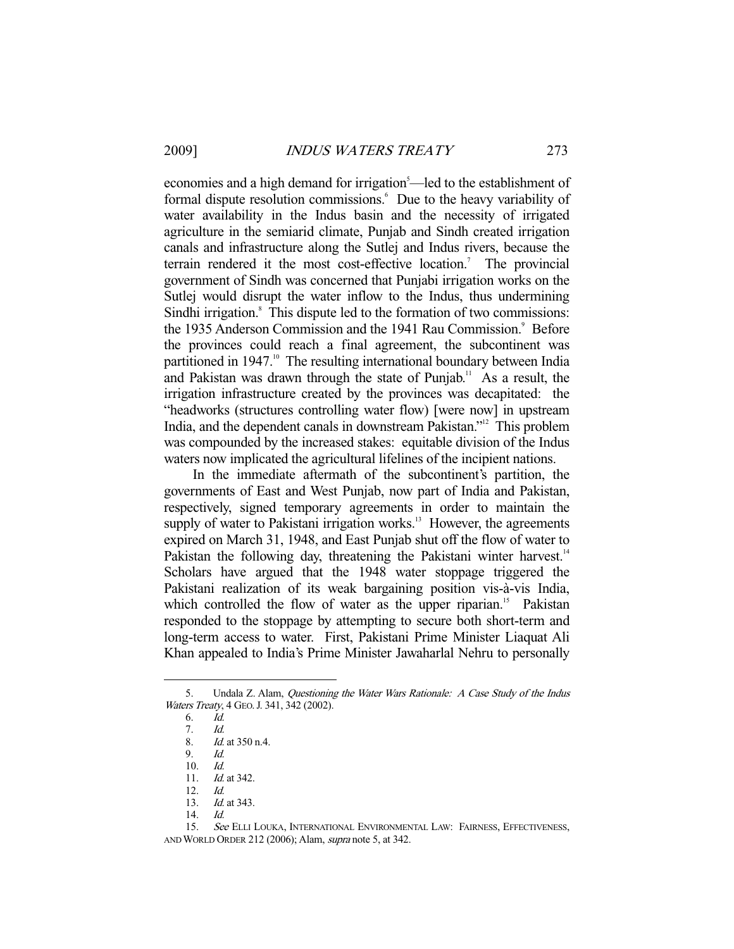economies and a high demand for irrigation<sup>5</sup>—led to the establishment of formal dispute resolution commissions.<sup>6</sup> Due to the heavy variability of water availability in the Indus basin and the necessity of irrigated agriculture in the semiarid climate, Punjab and Sindh created irrigation canals and infrastructure along the Sutlej and Indus rivers, because the terrain rendered it the most cost-effective location.<sup>7</sup> The provincial government of Sindh was concerned that Punjabi irrigation works on the Sutlej would disrupt the water inflow to the Indus, thus undermining Sindhi irrigation.<sup>8</sup> This dispute led to the formation of two commissions: the 1935 Anderson Commission and the 1941 Rau Commission.<sup>9</sup> Before the provinces could reach a final agreement, the subcontinent was partitioned in 1947.<sup>10</sup> The resulting international boundary between India and Pakistan was drawn through the state of Punjab.<sup>11</sup> As a result, the irrigation infrastructure created by the provinces was decapitated: the "headworks (structures controlling water flow) [were now] in upstream India, and the dependent canals in downstream Pakistan."12 This problem was compounded by the increased stakes: equitable division of the Indus waters now implicated the agricultural lifelines of the incipient nations.

 In the immediate aftermath of the subcontinent's partition, the governments of East and West Punjab, now part of India and Pakistan, respectively, signed temporary agreements in order to maintain the supply of water to Pakistani irrigation works.<sup>13</sup> However, the agreements expired on March 31, 1948, and East Punjab shut off the flow of water to Pakistan the following day, threatening the Pakistani winter harvest.<sup>14</sup> Scholars have argued that the 1948 water stoppage triggered the Pakistani realization of its weak bargaining position vis-à-vis India, which controlled the flow of water as the upper riparian.<sup>15</sup> Pakistan responded to the stoppage by attempting to secure both short-term and long-term access to water. First, Pakistani Prime Minister Liaquat Ali Khan appealed to India's Prime Minister Jawaharlal Nehru to personally

 <sup>5.</sup> Undala Z. Alam, Questioning the Water Wars Rationale: A Case Study of the Indus Waters Treaty, 4 GEO. J. 341, 342 (2002).

 <sup>6.</sup> Id.

 <sup>7.</sup> Id.

 <sup>8.</sup> Id. at 350 n.4.

 <sup>9.</sup> Id.

 <sup>10.</sup> Id.

<sup>11.</sup> *Id.* at 342.

 <sup>12.</sup> Id.

<sup>13.</sup> *Id.* at 343.

 <sup>14.</sup> Id.

<sup>15.</sup> See ELLI LOUKA, INTERNATIONAL ENVIRONMENTAL LAW: FAIRNESS, EFFECTIVENESS, AND WORLD ORDER 212 (2006); Alam, supra note 5, at 342.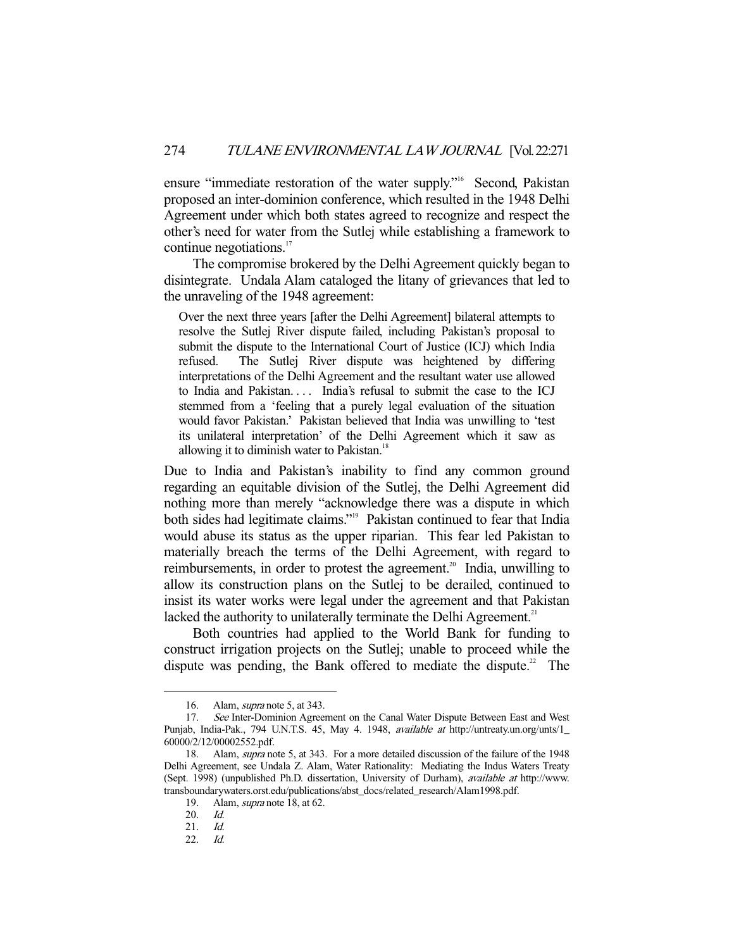ensure "immediate restoration of the water supply."<sup>16</sup> Second, Pakistan proposed an inter-dominion conference, which resulted in the 1948 Delhi Agreement under which both states agreed to recognize and respect the other's need for water from the Sutlej while establishing a framework to continue negotiations.<sup>17</sup>

 The compromise brokered by the Delhi Agreement quickly began to disintegrate. Undala Alam cataloged the litany of grievances that led to the unraveling of the 1948 agreement:

Over the next three years [after the Delhi Agreement] bilateral attempts to resolve the Sutlej River dispute failed, including Pakistan's proposal to submit the dispute to the International Court of Justice (ICJ) which India refused. The Sutlej River dispute was heightened by differing interpretations of the Delhi Agreement and the resultant water use allowed to India and Pakistan.... India's refusal to submit the case to the ICJ stemmed from a 'feeling that a purely legal evaluation of the situation would favor Pakistan.' Pakistan believed that India was unwilling to 'test its unilateral interpretation' of the Delhi Agreement which it saw as allowing it to diminish water to Pakistan. $18$ 

Due to India and Pakistan's inability to find any common ground regarding an equitable division of the Sutlej, the Delhi Agreement did nothing more than merely "acknowledge there was a dispute in which both sides had legitimate claims."19 Pakistan continued to fear that India would abuse its status as the upper riparian. This fear led Pakistan to materially breach the terms of the Delhi Agreement, with regard to reimbursements, in order to protest the agreement.<sup>20</sup> India, unwilling to allow its construction plans on the Sutlej to be derailed, continued to insist its water works were legal under the agreement and that Pakistan lacked the authority to unilaterally terminate the Delhi Agreement.<sup>21</sup>

 Both countries had applied to the World Bank for funding to construct irrigation projects on the Sutlej; unable to proceed while the dispute was pending, the Bank offered to mediate the dispute.<sup>22</sup> The

 <sup>16.</sup> Alam, supra note 5, at 343.

<sup>17.</sup> See Inter-Dominion Agreement on the Canal Water Dispute Between East and West Punjab, India-Pak., 794 U.N.T.S. 45, May 4. 1948, available at http://untreaty.un.org/unts/1\_ 60000/2/12/00002552.pdf.

 <sup>18.</sup> Alam, supra note 5, at 343. For a more detailed discussion of the failure of the 1948 Delhi Agreement, see Undala Z. Alam, Water Rationality: Mediating the Indus Waters Treaty (Sept. 1998) (unpublished Ph.D. dissertation, University of Durham), available at http://www. transboundarywaters.orst.edu/publications/abst\_docs/related\_research/Alam1998.pdf.

 <sup>19.</sup> Alam, supra note 18, at 62.

 <sup>20.</sup> Id.

 <sup>21.</sup> Id.

 <sup>22.</sup> Id.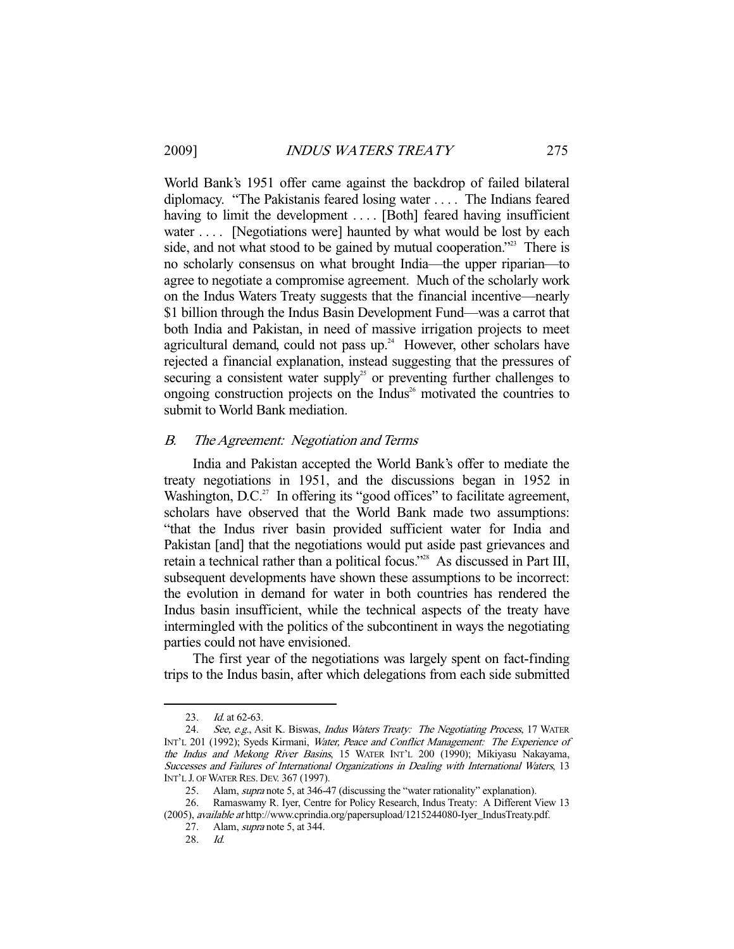World Bank's 1951 offer came against the backdrop of failed bilateral diplomacy. "The Pakistanis feared losing water . . . . The Indians feared having to limit the development .... [Both] feared having insufficient water .... [Negotiations were] haunted by what would be lost by each side, and not what stood to be gained by mutual cooperation."<sup>23</sup> There is no scholarly consensus on what brought India—the upper riparian—to agree to negotiate a compromise agreement. Much of the scholarly work on the Indus Waters Treaty suggests that the financial incentive—nearly \$1 billion through the Indus Basin Development Fund—was a carrot that both India and Pakistan, in need of massive irrigation projects to meet agricultural demand, could not pass up.<sup>24</sup> However, other scholars have rejected a financial explanation, instead suggesting that the pressures of securing a consistent water supply<sup>25</sup> or preventing further challenges to ongoing construction projects on the Indus<sup>26</sup> motivated the countries to submit to World Bank mediation.

## B. The Agreement: Negotiation and Terms

 India and Pakistan accepted the World Bank's offer to mediate the treaty negotiations in 1951, and the discussions began in 1952 in Washington,  $D.C.^{27}$  In offering its "good offices" to facilitate agreement, scholars have observed that the World Bank made two assumptions: "that the Indus river basin provided sufficient water for India and Pakistan [and] that the negotiations would put aside past grievances and retain a technical rather than a political focus."<sup>28</sup> As discussed in Part III, subsequent developments have shown these assumptions to be incorrect: the evolution in demand for water in both countries has rendered the Indus basin insufficient, while the technical aspects of the treaty have intermingled with the politics of the subcontinent in ways the negotiating parties could not have envisioned.

 The first year of the negotiations was largely spent on fact-finding trips to the Indus basin, after which delegations from each side submitted

<sup>23.</sup> *Id.* at 62-63.

<sup>24.</sup> See, e.g., Asit K. Biswas, Indus Waters Treaty: The Negotiating Process, 17 WATER INT'L 201 (1992); Syeds Kirmani, Water, Peace and Conflict Management: The Experience of the Indus and Mekong River Basins, 15 WATER INT'L 200 (1990); Mikiyasu Nakayama, Successes and Failures of International Organizations in Dealing with International Waters, 13 INT'L J. OF WATER RES. DEV. 367 (1997).

<sup>25.</sup> Alam, *supra* note 5, at 346-47 (discussing the "water rationality" explanation).

 <sup>26.</sup> Ramaswamy R. Iyer, Centre for Policy Research, Indus Treaty: A Different View 13 (2005), available at http://www.cprindia.org/papersupload/1215244080-Iyer\_IndusTreaty.pdf.

 <sup>27.</sup> Alam, supra note 5, at 344.

 <sup>28.</sup> Id.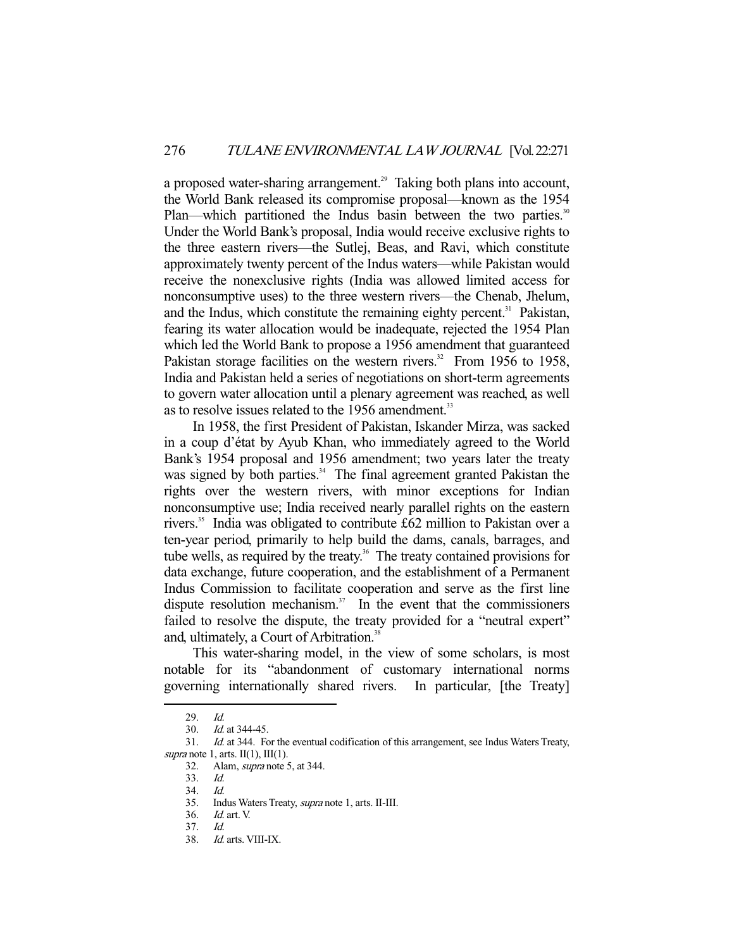a proposed water-sharing arrangement.<sup>29</sup> Taking both plans into account, the World Bank released its compromise proposal—known as the 1954 Plan—which partitioned the Indus basin between the two parties.<sup>30</sup> Under the World Bank's proposal, India would receive exclusive rights to the three eastern rivers—the Sutlej, Beas, and Ravi, which constitute approximately twenty percent of the Indus waters—while Pakistan would receive the nonexclusive rights (India was allowed limited access for nonconsumptive uses) to the three western rivers—the Chenab, Jhelum, and the Indus, which constitute the remaining eighty percent.<sup>31</sup> Pakistan, fearing its water allocation would be inadequate, rejected the 1954 Plan which led the World Bank to propose a 1956 amendment that guaranteed Pakistan storage facilities on the western rivers.<sup>32</sup> From 1956 to 1958, India and Pakistan held a series of negotiations on short-term agreements to govern water allocation until a plenary agreement was reached, as well as to resolve issues related to the 1956 amendment.<sup>33</sup>

 In 1958, the first President of Pakistan, Iskander Mirza, was sacked in a coup d'état by Ayub Khan, who immediately agreed to the World Bank's 1954 proposal and 1956 amendment; two years later the treaty was signed by both parties.<sup>34</sup> The final agreement granted Pakistan the rights over the western rivers, with minor exceptions for Indian nonconsumptive use; India received nearly parallel rights on the eastern rivers.<sup>35</sup> India was obligated to contribute £62 million to Pakistan over a ten-year period, primarily to help build the dams, canals, barrages, and tube wells, as required by the treaty.<sup>36</sup> The treaty contained provisions for data exchange, future cooperation, and the establishment of a Permanent Indus Commission to facilitate cooperation and serve as the first line dispute resolution mechanism. $37$  In the event that the commissioners failed to resolve the dispute, the treaty provided for a "neutral expert" and, ultimately, a Court of Arbitration.<sup>38</sup>

 This water-sharing model, in the view of some scholars, is most notable for its "abandonment of customary international norms governing internationally shared rivers. In particular, [the Treaty]

 <sup>29.</sup> Id.

 <sup>30.</sup> Id. at 344-45.

 <sup>31.</sup> Id. at 344. For the eventual codification of this arrangement, see Indus Waters Treaty, supra note 1, arts.  $II(1)$ ,  $III(1)$ .

 <sup>32.</sup> Alam, supra note 5, at 344.

 <sup>33.</sup> Id.

 <sup>34.</sup> Id.

 <sup>35.</sup> Indus Waters Treaty, supra note 1, arts. II-III.

 <sup>36.</sup> Id. art. V.

 <sup>37.</sup> Id.

 <sup>38.</sup> Id. arts. VIII-IX.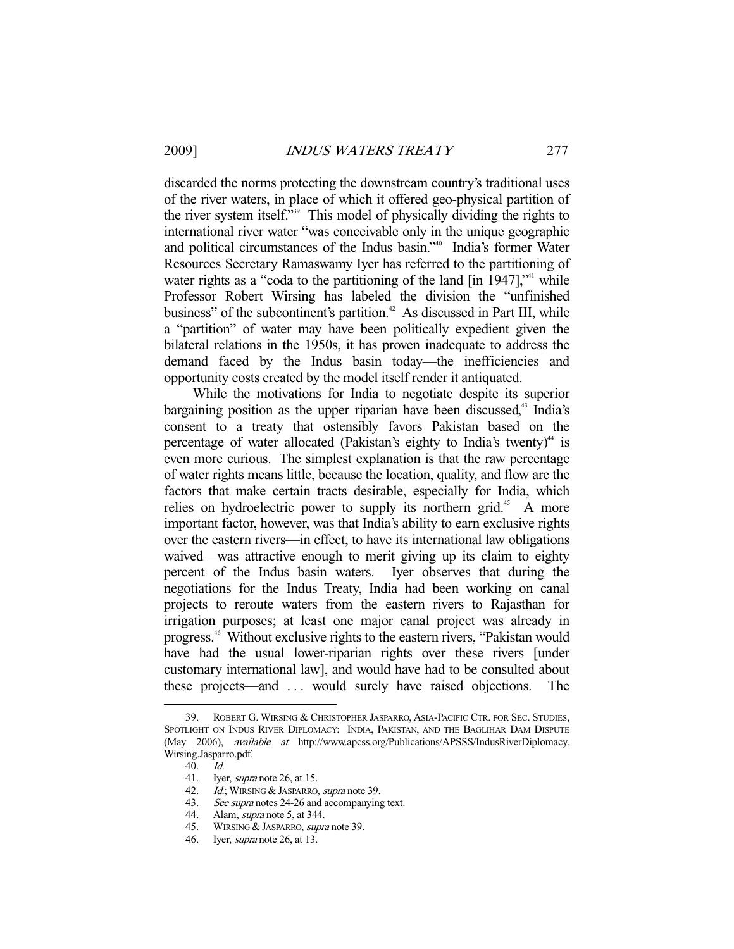discarded the norms protecting the downstream country's traditional uses of the river waters, in place of which it offered geo-physical partition of the river system itself."<sup>39</sup> This model of physically dividing the rights to international river water "was conceivable only in the unique geographic and political circumstances of the Indus basin."40 India's former Water Resources Secretary Ramaswamy Iyer has referred to the partitioning of water rights as a "coda to the partitioning of the land  $\left[ \text{in } 1947 \right]$ ," while Professor Robert Wirsing has labeled the division the "unfinished business" of the subcontinent's partition.<sup>42</sup> As discussed in Part III, while a "partition" of water may have been politically expedient given the bilateral relations in the 1950s, it has proven inadequate to address the demand faced by the Indus basin today—the inefficiencies and opportunity costs created by the model itself render it antiquated.

 While the motivations for India to negotiate despite its superior bargaining position as the upper riparian have been discussed, $43$  India's consent to a treaty that ostensibly favors Pakistan based on the percentage of water allocated (Pakistan's eighty to India's twenty)<sup> $44$ </sup> is even more curious. The simplest explanation is that the raw percentage of water rights means little, because the location, quality, and flow are the factors that make certain tracts desirable, especially for India, which relies on hydroelectric power to supply its northern grid.<sup>45</sup> A more important factor, however, was that India's ability to earn exclusive rights over the eastern rivers—in effect, to have its international law obligations waived—was attractive enough to merit giving up its claim to eighty percent of the Indus basin waters. Iyer observes that during the negotiations for the Indus Treaty, India had been working on canal projects to reroute waters from the eastern rivers to Rajasthan for irrigation purposes; at least one major canal project was already in progress.46 Without exclusive rights to the eastern rivers, "Pakistan would have had the usual lower-riparian rights over these rivers [under customary international law], and would have had to be consulted about these projects—and . . . would surely have raised objections. The

 <sup>39.</sup> ROBERT G. WIRSING & CHRISTOPHER JASPARRO, ASIA-PACIFIC CTR. FOR SEC. STUDIES, SPOTLIGHT ON INDUS RIVER DIPLOMACY: INDIA, PAKISTAN, AND THE BAGLIHAR DAM DISPUTE (May 2006), available at http://www.apcss.org/Publications/APSSS/IndusRiverDiplomacy. Wirsing.Jasparro.pdf.

 <sup>40.</sup> Id.

<sup>41.</sup> Iyer, *supra* note 26, at 15.<br>42. Id.; WIRSING & JASPARRO, 43. See *supra* notes 24-26 and Id.; WIRSING & JASPARRO, supra note 39.

<sup>43.</sup> See supra notes 24-26 and accompanying text.<br>44. Alam, *supra* note 5, at 344.

<sup>44.</sup> Alam, *supra* note 5, at 344.<br>45. WIRSING & JASPARRO. *sunn* 

WIRSING & JASPARRO, *supra* note 39.

 <sup>46.</sup> Iyer, supra note 26, at 13.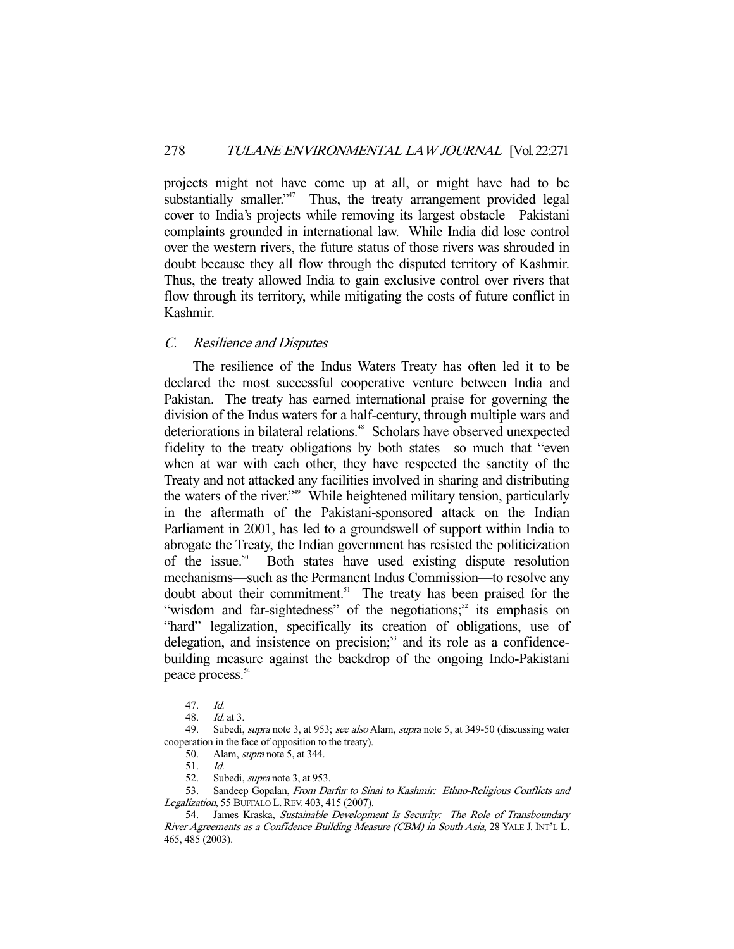projects might not have come up at all, or might have had to be substantially smaller."<sup>47</sup> Thus, the treaty arrangement provided legal cover to India's projects while removing its largest obstacle—Pakistani complaints grounded in international law. While India did lose control over the western rivers, the future status of those rivers was shrouded in doubt because they all flow through the disputed territory of Kashmir. Thus, the treaty allowed India to gain exclusive control over rivers that flow through its territory, while mitigating the costs of future conflict in Kashmir.

# C. Resilience and Disputes

 The resilience of the Indus Waters Treaty has often led it to be declared the most successful cooperative venture between India and Pakistan. The treaty has earned international praise for governing the division of the Indus waters for a half-century, through multiple wars and deteriorations in bilateral relations.<sup>48</sup> Scholars have observed unexpected fidelity to the treaty obligations by both states—so much that "even when at war with each other, they have respected the sanctity of the Treaty and not attacked any facilities involved in sharing and distributing the waters of the river."49 While heightened military tension, particularly in the aftermath of the Pakistani-sponsored attack on the Indian Parliament in 2001, has led to a groundswell of support within India to abrogate the Treaty, the Indian government has resisted the politicization of the issue.50 Both states have used existing dispute resolution mechanisms—such as the Permanent Indus Commission—to resolve any doubt about their commitment.<sup>51</sup> The treaty has been praised for the "wisdom and far-sightedness" of the negotiations; $52$  its emphasis on "hard" legalization, specifically its creation of obligations, use of delegation, and insistence on precision; $53$  and its role as a confidencebuilding measure against the backdrop of the ongoing Indo-Pakistani peace process.<sup>54</sup>

 <sup>47.</sup> Id.

 <sup>48.</sup> Id. at 3.

<sup>49.</sup> Subedi, *supra* note 3, at 953; see also Alam, supra note 5, at 349-50 (discussing water cooperation in the face of opposition to the treaty).

 <sup>50.</sup> Alam, supra note 5, at 344.

 <sup>51.</sup> Id.

<sup>52.</sup> Subedi, *supra* note 3, at 953.

<sup>53.</sup> Sandeep Gopalan, From Darfur to Sinai to Kashmir: Ethno-Religious Conflicts and Legalization, 55 BUFFALO L.REV. 403, 415 (2007).

<sup>54.</sup> James Kraska, Sustainable Development Is Security: The Role of Transboundary River Agreements as a Confidence Building Measure (CBM) in South Asia, 28 YALE J. INT'L L. 465, 485 (2003).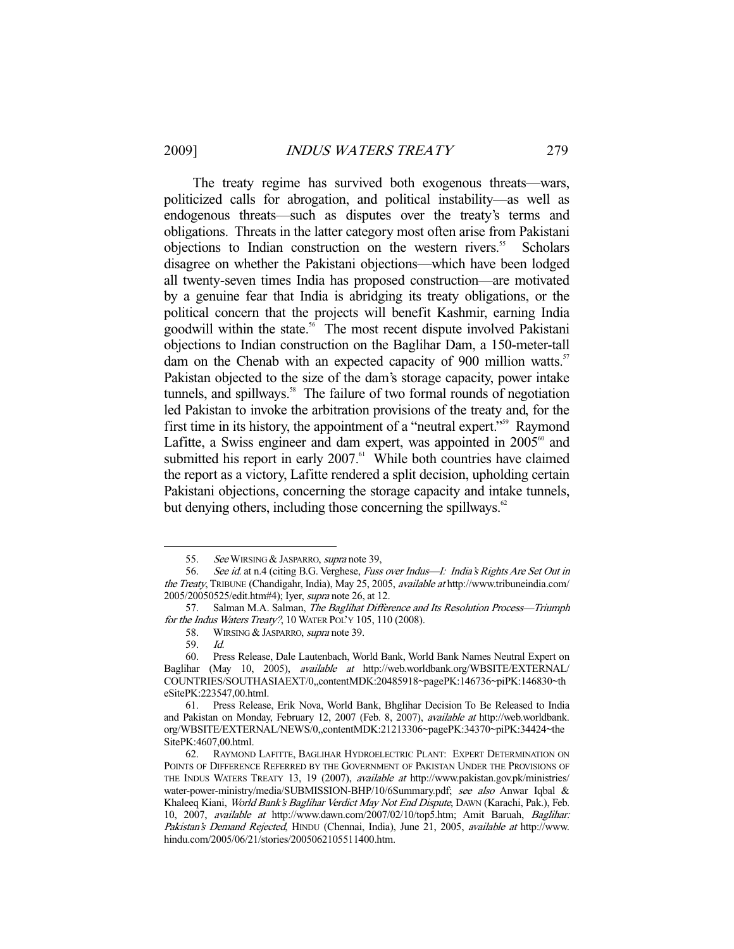The treaty regime has survived both exogenous threats—wars, politicized calls for abrogation, and political instability—as well as endogenous threats—such as disputes over the treaty's terms and obligations. Threats in the latter category most often arise from Pakistani objections to Indian construction on the western rivers.<sup>55</sup> Scholars disagree on whether the Pakistani objections—which have been lodged all twenty-seven times India has proposed construction—are motivated by a genuine fear that India is abridging its treaty obligations, or the political concern that the projects will benefit Kashmir, earning India goodwill within the state.56 The most recent dispute involved Pakistani objections to Indian construction on the Baglihar Dam, a 150-meter-tall dam on the Chenab with an expected capacity of 900 million watts.<sup>57</sup> Pakistan objected to the size of the dam's storage capacity, power intake tunnels, and spillways.<sup>58</sup> The failure of two formal rounds of negotiation led Pakistan to invoke the arbitration provisions of the treaty and, for the first time in its history, the appointment of a "neutral expert."59 Raymond Lafitte, a Swiss engineer and dam expert, was appointed in  $2005^{\circ\circ}$  and submitted his report in early  $2007$ .<sup>61</sup> While both countries have claimed the report as a victory, Lafitte rendered a split decision, upholding certain Pakistani objections, concerning the storage capacity and intake tunnels, but denying others, including those concerning the spillways. $62$ 

<sup>55.</sup> See WIRSING & JASPARRO, supra note 39,

<sup>56.</sup> See id. at n.4 (citing B.G. Verghese, Fuss over Indus—I: India's Rights Are Set Out in the Treaty, TRIBUNE (Chandigahr, India), May 25, 2005, available at http://www.tribuneindia.com/ 2005/20050525/edit.htm#4); Iyer, supra note 26, at 12.

<sup>57.</sup> Salman M.A. Salman, The Baglihat Difference and Its Resolution Process—Triumph for the Indus Waters Treaty?, 10 WATER POL'Y 105, 110 (2008).

<sup>58.</sup> WIRSING & JASPARRO, *supra* note 39.<br>59. Id.

 <sup>59.</sup> Id.

 <sup>60.</sup> Press Release, Dale Lautenbach, World Bank, World Bank Names Neutral Expert on Baglihar (May 10, 2005), available at http://web.worldbank.org/WBSITE/EXTERNAL/ COUNTRIES/SOUTHASIAEXT/0,,contentMDK:20485918~pagePK:146736~piPK:146830~th eSitePK:223547,00.html.

 <sup>61.</sup> Press Release, Erik Nova, World Bank, Bhglihar Decision To Be Released to India and Pakistan on Monday, February 12, 2007 (Feb. 8, 2007), available at http://web.worldbank. org/WBSITE/EXTERNAL/NEWS/0,,contentMDK:21213306~pagePK:34370~piPK:34424~the SitePK:4607,00.html.

 <sup>62.</sup> RAYMOND LAFITTE, BAGLIHAR HYDROELECTRIC PLANT: EXPERT DETERMINATION ON POINTS OF DIFFERENCE REFERRED BY THE GOVERNMENT OF PAKISTAN UNDER THE PROVISIONS OF THE INDUS WATERS TREATY 13, 19 (2007), available at http://www.pakistan.gov.pk/ministries/ water-power-ministry/media/SUBMISSION-BHP/10/6Summary.pdf; see also Anwar Iqbal & Khaleeq Kiani, World Bank's Baglihar Verdict May Not End Dispute, DAWN (Karachi, Pak.), Feb. 10, 2007, available at http://www.dawn.com/2007/02/10/top5.htm; Amit Baruah, Baglihar: Pakistan's Demand Rejected, HINDU (Chennai, India), June 21, 2005, available at http://www. hindu.com/2005/06/21/stories/2005062105511400.htm.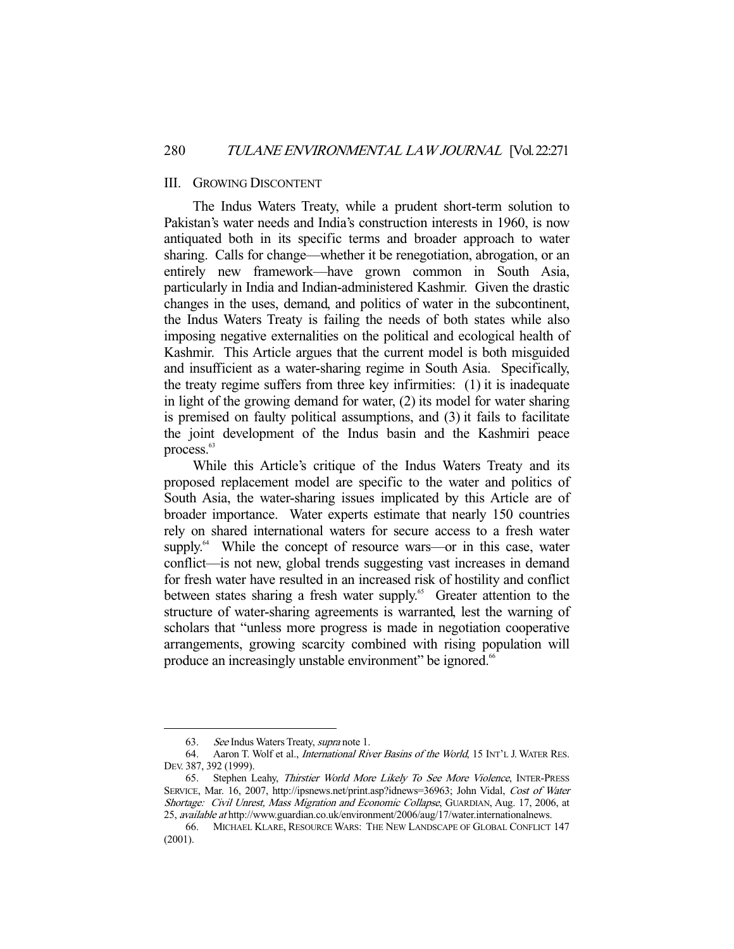#### III. GROWING DISCONTENT

 The Indus Waters Treaty, while a prudent short-term solution to Pakistan's water needs and India's construction interests in 1960, is now antiquated both in its specific terms and broader approach to water sharing. Calls for change—whether it be renegotiation, abrogation, or an entirely new framework—have grown common in South Asia, particularly in India and Indian-administered Kashmir. Given the drastic changes in the uses, demand, and politics of water in the subcontinent, the Indus Waters Treaty is failing the needs of both states while also imposing negative externalities on the political and ecological health of Kashmir. This Article argues that the current model is both misguided and insufficient as a water-sharing regime in South Asia. Specifically, the treaty regime suffers from three key infirmities: (1) it is inadequate in light of the growing demand for water, (2) its model for water sharing is premised on faulty political assumptions, and (3) it fails to facilitate the joint development of the Indus basin and the Kashmiri peace process.<sup>63</sup>

 While this Article's critique of the Indus Waters Treaty and its proposed replacement model are specific to the water and politics of South Asia, the water-sharing issues implicated by this Article are of broader importance. Water experts estimate that nearly 150 countries rely on shared international waters for secure access to a fresh water supply.<sup>64</sup> While the concept of resource wars—or in this case, water conflict—is not new, global trends suggesting vast increases in demand for fresh water have resulted in an increased risk of hostility and conflict between states sharing a fresh water supply.<sup>65</sup> Greater attention to the structure of water-sharing agreements is warranted, lest the warning of scholars that "unless more progress is made in negotiation cooperative arrangements, growing scarcity combined with rising population will produce an increasingly unstable environment" be ignored.<sup>66</sup>

<sup>63.</sup> See Indus Waters Treaty, *supra* note 1.

<sup>64.</sup> Aaron T. Wolf et al., *International River Basins of the World*, 15 INT'L J. WATER RES. DEV. 387, 392 (1999).

 <sup>65.</sup> Stephen Leahy, Thirstier World More Likely To See More Violence, INTER-PRESS SERVICE, Mar. 16, 2007, http://ipsnews.net/print.asp?idnews=36963; John Vidal, Cost of Water Shortage: Civil Unrest, Mass Migration and Economic Collapse, GUARDIAN, Aug. 17, 2006, at 25, available at http://www.guardian.co.uk/environment/2006/aug/17/water.internationalnews.

 <sup>66.</sup> MICHAEL KLARE, RESOURCE WARS: THE NEW LANDSCAPE OF GLOBAL CONFLICT 147 (2001).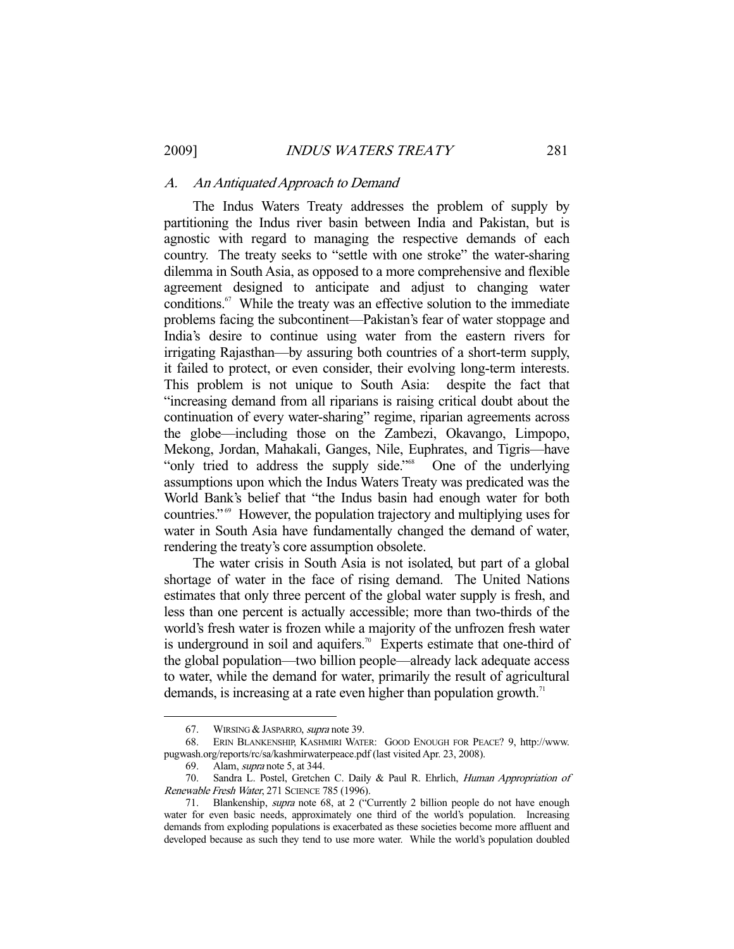#### A. An Antiquated Approach to Demand

 The Indus Waters Treaty addresses the problem of supply by partitioning the Indus river basin between India and Pakistan, but is agnostic with regard to managing the respective demands of each country. The treaty seeks to "settle with one stroke" the water-sharing dilemma in South Asia, as opposed to a more comprehensive and flexible agreement designed to anticipate and adjust to changing water conditions.<sup>67</sup> While the treaty was an effective solution to the immediate problems facing the subcontinent—Pakistan's fear of water stoppage and India's desire to continue using water from the eastern rivers for irrigating Rajasthan—by assuring both countries of a short-term supply, it failed to protect, or even consider, their evolving long-term interests. This problem is not unique to South Asia: despite the fact that "increasing demand from all riparians is raising critical doubt about the continuation of every water-sharing" regime, riparian agreements across the globe—including those on the Zambezi, Okavango, Limpopo, Mekong, Jordan, Mahakali, Ganges, Nile, Euphrates, and Tigris—have "only tried to address the supply side."<sup>68</sup> One of the underlying assumptions upon which the Indus Waters Treaty was predicated was the World Bank's belief that "the Indus basin had enough water for both countries." 69 However, the population trajectory and multiplying uses for water in South Asia have fundamentally changed the demand of water, rendering the treaty's core assumption obsolete.

 The water crisis in South Asia is not isolated, but part of a global shortage of water in the face of rising demand. The United Nations estimates that only three percent of the global water supply is fresh, and less than one percent is actually accessible; more than two-thirds of the world's fresh water is frozen while a majority of the unfrozen fresh water is underground in soil and aquifers.<sup>70</sup> Experts estimate that one-third of the global population—two billion people—already lack adequate access to water, while the demand for water, primarily the result of agricultural demands, is increasing at a rate even higher than population growth.<sup>71</sup>

 <sup>67.</sup> WIRSING & JASPARRO, supra note 39.

 <sup>68.</sup> ERIN BLANKENSHIP, KASHMIRI WATER: GOOD ENOUGH FOR PEACE? 9, http://www. pugwash.org/reports/rc/sa/kashmirwaterpeace.pdf (last visited Apr. 23, 2008).

<sup>69.</sup> Alam, *supra* note 5, at 344.

 <sup>70.</sup> Sandra L. Postel, Gretchen C. Daily & Paul R. Ehrlich, Human Appropriation of Renewable Fresh Water, 271 SCIENCE 785 (1996).

<sup>71.</sup> Blankenship, *supra* note 68, at 2 ("Currently 2 billion people do not have enough water for even basic needs, approximately one third of the world's population. Increasing demands from exploding populations is exacerbated as these societies become more affluent and developed because as such they tend to use more water. While the world's population doubled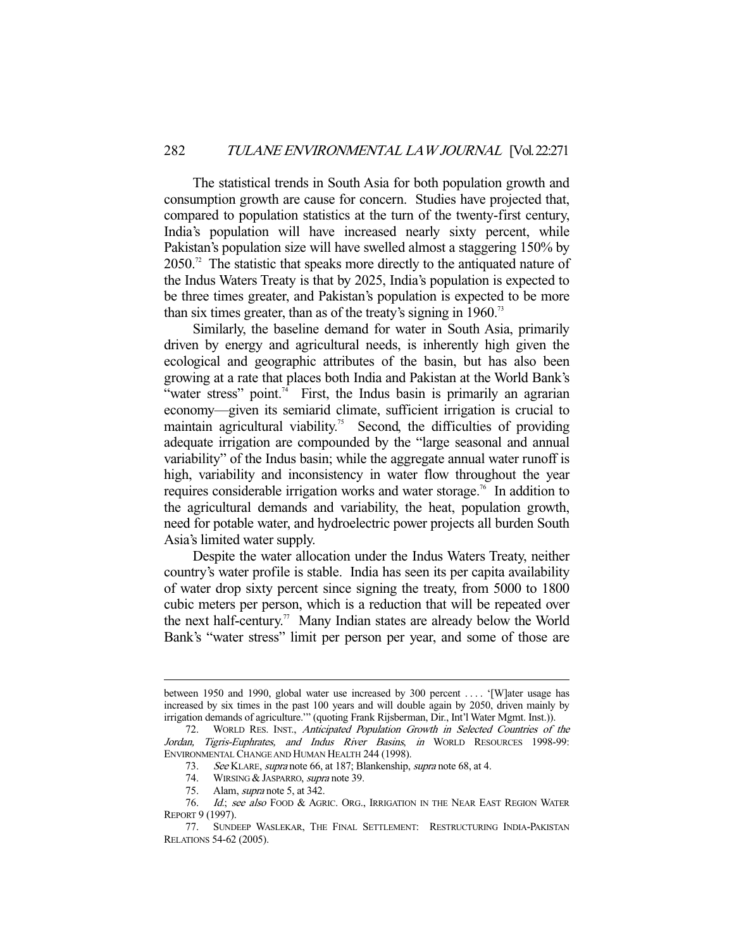The statistical trends in South Asia for both population growth and consumption growth are cause for concern. Studies have projected that, compared to population statistics at the turn of the twenty-first century, India's population will have increased nearly sixty percent, while Pakistan's population size will have swelled almost a staggering 150% by  $2050$ .<sup>72</sup> The statistic that speaks more directly to the antiquated nature of the Indus Waters Treaty is that by 2025, India's population is expected to be three times greater, and Pakistan's population is expected to be more than six times greater, than as of the treaty's signing in  $1960$ <sup>3</sup>

 Similarly, the baseline demand for water in South Asia, primarily driven by energy and agricultural needs, is inherently high given the ecological and geographic attributes of the basin, but has also been growing at a rate that places both India and Pakistan at the World Bank's "water stress" point.<sup>74</sup> First, the Indus basin is primarily an agrarian economy—given its semiarid climate, sufficient irrigation is crucial to maintain agricultural viability.<sup>75</sup> Second, the difficulties of providing adequate irrigation are compounded by the "large seasonal and annual variability" of the Indus basin; while the aggregate annual water runoff is high, variability and inconsistency in water flow throughout the year requires considerable irrigation works and water storage.<sup>76</sup> In addition to the agricultural demands and variability, the heat, population growth, need for potable water, and hydroelectric power projects all burden South Asia's limited water supply.

 Despite the water allocation under the Indus Waters Treaty, neither country's water profile is stable. India has seen its per capita availability of water drop sixty percent since signing the treaty, from 5000 to 1800 cubic meters per person, which is a reduction that will be repeated over the next half-century.<sup>77</sup> Many Indian states are already below the World Bank's "water stress" limit per person per year, and some of those are

between 1950 and 1990, global water use increased by 300 percent . . . . '[W]ater usage has increased by six times in the past 100 years and will double again by 2050, driven mainly by irrigation demands of agriculture.'" (quoting Frank Rijsberman, Dir., Int'l Water Mgmt. Inst.)).

 <sup>72.</sup> WORLD RES. INST., Anticipated Population Growth in Selected Countries of the Jordan, Tigris-Euphrates, and Indus River Basins, in WORLD RESOURCES 1998-99: ENVIRONMENTAL CHANGE AND HUMAN HEALTH 244 (1998).

<sup>73.</sup> See KLARE, supra note 66, at 187; Blankenship, supra note 68, at 4.

<sup>74.</sup> WIRSING & JASPARRO, *supra* note 39.

<sup>75.</sup> Alam, *supra* note 5, at 342.

<sup>76.</sup> Id.; see also FOOD & AGRIC. ORG., IRRIGATION IN THE NEAR EAST REGION WATER REPORT 9 (1997).

 <sup>77.</sup> SUNDEEP WASLEKAR, THE FINAL SETTLEMENT: RESTRUCTURING INDIA-PAKISTAN RELATIONS 54-62 (2005).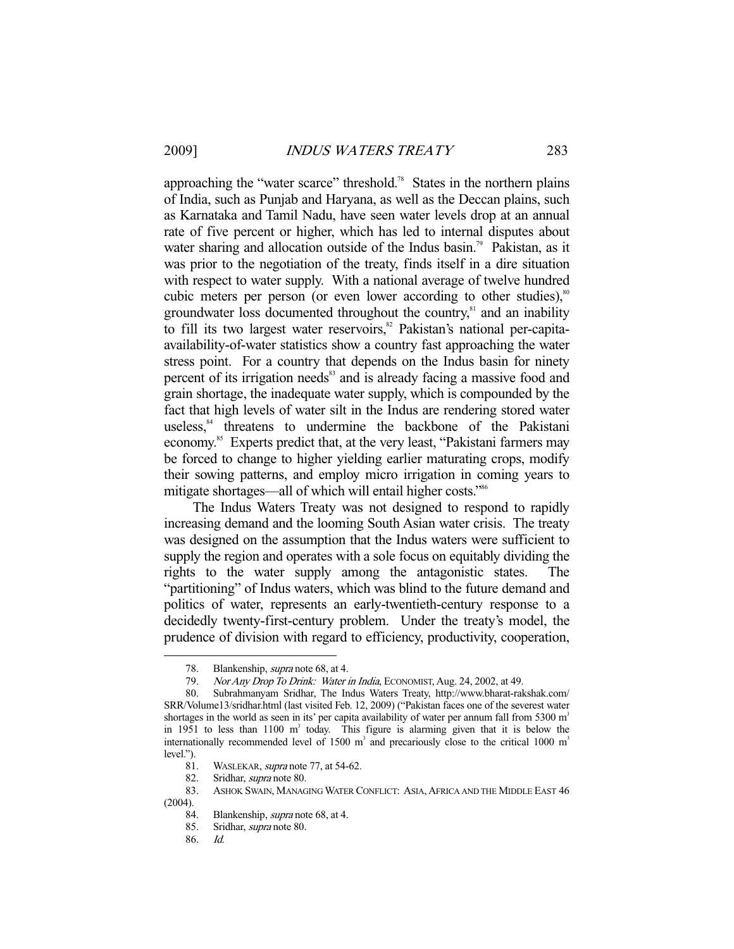approaching the "water scarce" threshold.<sup>78</sup> States in the northern plains of India, such as Punjab and Haryana, as well as the Deccan plains, such as Karnataka and Tamil Nadu, have seen water levels drop at an annual rate of five percent or higher, which has led to internal disputes about water sharing and allocation outside of the Indus basin.<sup>79</sup> Pakistan, as it was prior to the negotiation of the treaty, finds itself in a dire situation with respect to water supply. With a national average of twelve hundred cubic meters per person (or even lower according to other studies), $\frac{80}{3}$ groundwater loss documented throughout the country,<sup>81</sup> and an inability to fill its two largest water reservoirs,<sup>82</sup> Pakistan's national per-capitaavailability-of-water statistics show a country fast approaching the water stress point. For a country that depends on the Indus basin for ninety percent of its irrigation needs<sup>83</sup> and is already facing a massive food and grain shortage, the inadequate water supply, which is compounded by the fact that high levels of water silt in the Indus are rendering stored water useless,<sup>84</sup> threatens to undermine the backbone of the Pakistani economy.<sup>85</sup> Experts predict that, at the very least, "Pakistani farmers may be forced to change to higher yielding earlier maturating crops, modify their sowing patterns, and employ micro irrigation in coming years to mitigate shortages—all of which will entail higher costs."<sup>86</sup>

 The Indus Waters Treaty was not designed to respond to rapidly increasing demand and the looming South Asian water crisis. The treaty was designed on the assumption that the Indus waters were sufficient to supply the region and operates with a sole focus on equitably dividing the rights to the water supply among the antagonistic states. The "partitioning" of Indus waters, which was blind to the future demand and politics of water, represents an early-twentieth-century response to a decidedly twenty-first-century problem. Under the treaty's model, the prudence of division with regard to efficiency, productivity, cooperation,

<sup>78.</sup> Blankenship, *supra* note 68, at 4.

 <sup>79.</sup> Nor Any Drop To Drink: Water in India, ECONOMIST, Aug. 24, 2002, at 49.

 <sup>80.</sup> Subrahmanyam Sridhar, The Indus Waters Treaty, http://www.bharat-rakshak.com/ SRR/Volume13/sridhar.html (last visited Feb. 12, 2009) ("Pakistan faces one of the severest water shortages in the world as seen in its' per capita availability of water per annum fall from  $5300 \text{ m}^3$ in 1951 to less than 1100  $m<sup>3</sup>$  today. This figure is alarming given that it is below the internationally recommended level of 1500  $m<sup>3</sup>$  and precariously close to the critical 1000  $m<sup>3</sup>$ level.").

<sup>81.</sup> WASLEKAR, *supra* note 77, at 54-62.

 <sup>82.</sup> Sridhar, supra note 80.

 <sup>83.</sup> ASHOK SWAIN, MANAGING WATER CONFLICT: ASIA,AFRICA AND THE MIDDLE EAST 46 (2004).

 <sup>84.</sup> Blankenship, supra note 68, at 4.

 <sup>85.</sup> Sridhar, supra note 80.

 <sup>86.</sup> Id.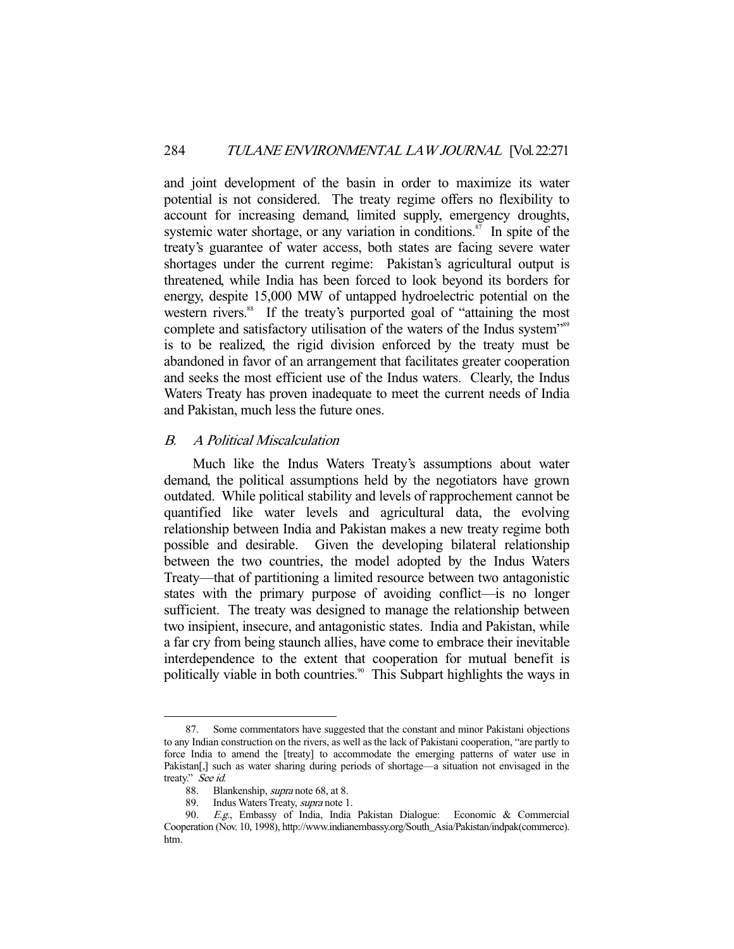and joint development of the basin in order to maximize its water potential is not considered. The treaty regime offers no flexibility to account for increasing demand, limited supply, emergency droughts, systemic water shortage, or any variation in conditions. $\frac{87}{10}$  In spite of the treaty's guarantee of water access, both states are facing severe water shortages under the current regime: Pakistan's agricultural output is threatened, while India has been forced to look beyond its borders for energy, despite 15,000 MW of untapped hydroelectric potential on the western rivers.<sup>88</sup> If the treaty's purported goal of "attaining the most" complete and satisfactory utilisation of the waters of the Indus system"<sup>89</sup> is to be realized, the rigid division enforced by the treaty must be abandoned in favor of an arrangement that facilitates greater cooperation and seeks the most efficient use of the Indus waters. Clearly, the Indus Waters Treaty has proven inadequate to meet the current needs of India and Pakistan, much less the future ones.

## B. A Political Miscalculation

 Much like the Indus Waters Treaty's assumptions about water demand, the political assumptions held by the negotiators have grown outdated. While political stability and levels of rapprochement cannot be quantified like water levels and agricultural data, the evolving relationship between India and Pakistan makes a new treaty regime both possible and desirable. Given the developing bilateral relationship between the two countries, the model adopted by the Indus Waters Treaty—that of partitioning a limited resource between two antagonistic states with the primary purpose of avoiding conflict—is no longer sufficient. The treaty was designed to manage the relationship between two insipient, insecure, and antagonistic states. India and Pakistan, while a far cry from being staunch allies, have come to embrace their inevitable interdependence to the extent that cooperation for mutual benefit is politically viable in both countries.<sup>90</sup> This Subpart highlights the ways in

 <sup>87.</sup> Some commentators have suggested that the constant and minor Pakistani objections to any Indian construction on the rivers, as well as the lack of Pakistani cooperation, "are partly to force India to amend the [treaty] to accommodate the emerging patterns of water use in Pakistan<sup>[,]</sup> such as water sharing during periods of shortage—a situation not envisaged in the treaty." See id.

 <sup>88.</sup> Blankenship, supra note 68, at 8.

<sup>89.</sup> Indus Waters Treaty, supra note 1.

 <sup>90.</sup> E.g., Embassy of India, India Pakistan Dialogue: Economic & Commercial Cooperation (Nov. 10, 1998), http://www.indianembassy.org/South\_Asia/Pakistan/indpak(commerce). htm.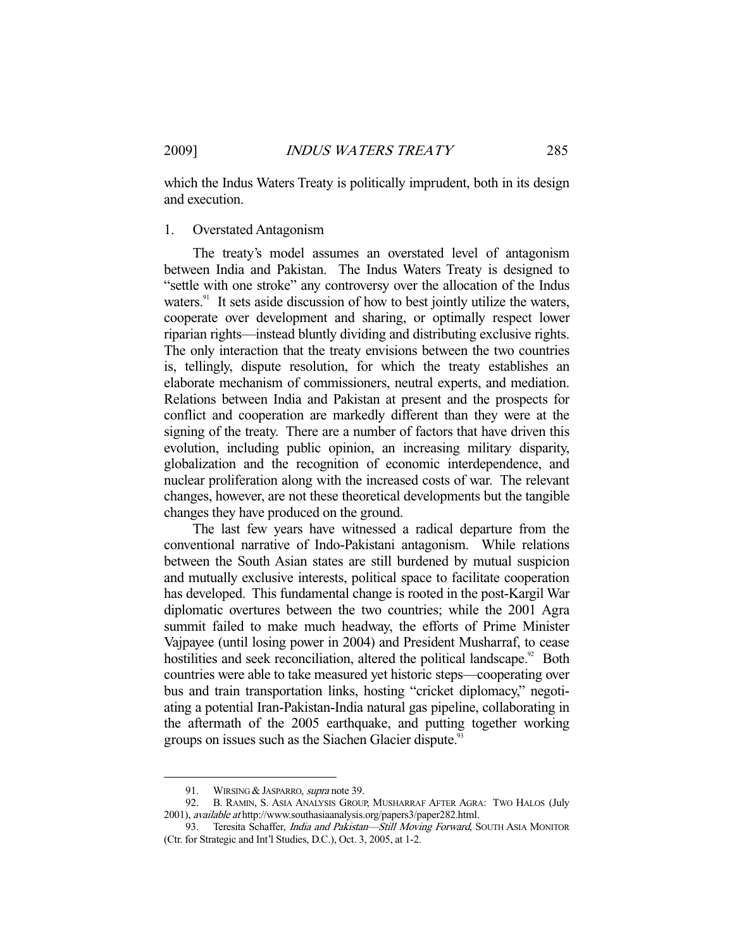which the Indus Waters Treaty is politically imprudent, both in its design and execution.

#### 1. Overstated Antagonism

 The treaty's model assumes an overstated level of antagonism between India and Pakistan. The Indus Waters Treaty is designed to "settle with one stroke" any controversy over the allocation of the Indus waters. $91$  It sets aside discussion of how to best jointly utilize the waters, cooperate over development and sharing, or optimally respect lower riparian rights—instead bluntly dividing and distributing exclusive rights. The only interaction that the treaty envisions between the two countries is, tellingly, dispute resolution, for which the treaty establishes an elaborate mechanism of commissioners, neutral experts, and mediation. Relations between India and Pakistan at present and the prospects for conflict and cooperation are markedly different than they were at the signing of the treaty. There are a number of factors that have driven this evolution, including public opinion, an increasing military disparity, globalization and the recognition of economic interdependence, and nuclear proliferation along with the increased costs of war. The relevant changes, however, are not these theoretical developments but the tangible changes they have produced on the ground.

 The last few years have witnessed a radical departure from the conventional narrative of Indo-Pakistani antagonism. While relations between the South Asian states are still burdened by mutual suspicion and mutually exclusive interests, political space to facilitate cooperation has developed. This fundamental change is rooted in the post-Kargil War diplomatic overtures between the two countries; while the 2001 Agra summit failed to make much headway, the efforts of Prime Minister Vajpayee (until losing power in 2004) and President Musharraf, to cease hostilities and seek reconciliation, altered the political landscape.<sup>92</sup> Both countries were able to take measured yet historic steps—cooperating over bus and train transportation links, hosting "cricket diplomacy," negotiating a potential Iran-Pakistan-India natural gas pipeline, collaborating in the aftermath of the 2005 earthquake, and putting together working groups on issues such as the Siachen Glacier dispute.<sup>93</sup>

<sup>91.</sup> WIRSING & JASPARRO, *supra* note 39.

 <sup>92.</sup> B. RAMIN, S. ASIA ANALYSIS GROUP, MUSHARRAF AFTER AGRA: TWO HALOS (July 2001), available at http://www.southasiaanalysis.org/papers3/paper282.html.

<sup>93.</sup> Teresita Schaffer, India and Pakistan-Still Moving Forward, SOUTH ASIA MONITOR (Ctr. for Strategic and Int'l Studies, D.C.), Oct. 3, 2005, at 1-2.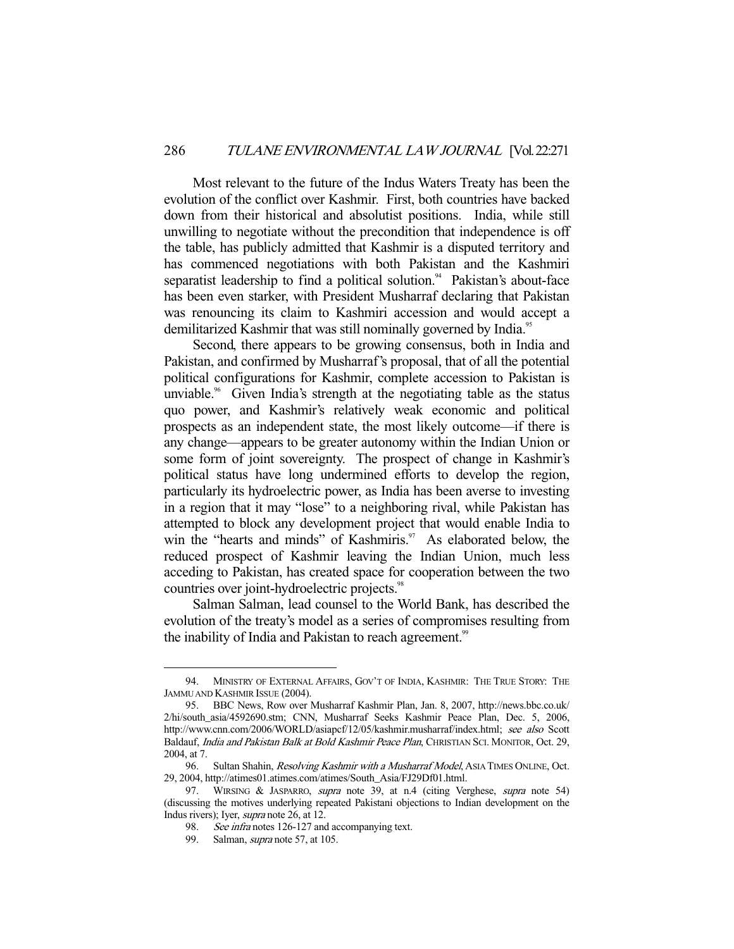Most relevant to the future of the Indus Waters Treaty has been the evolution of the conflict over Kashmir. First, both countries have backed down from their historical and absolutist positions. India, while still unwilling to negotiate without the precondition that independence is off the table, has publicly admitted that Kashmir is a disputed territory and has commenced negotiations with both Pakistan and the Kashmiri separatist leadership to find a political solution.<sup>94</sup> Pakistan's about-face has been even starker, with President Musharraf declaring that Pakistan was renouncing its claim to Kashmiri accession and would accept a demilitarized Kashmir that was still nominally governed by India.<sup>95</sup>

 Second, there appears to be growing consensus, both in India and Pakistan, and confirmed by Musharraf's proposal, that of all the potential political configurations for Kashmir, complete accession to Pakistan is unviable.<sup>96</sup> Given India's strength at the negotiating table as the status quo power, and Kashmir's relatively weak economic and political prospects as an independent state, the most likely outcome—if there is any change—appears to be greater autonomy within the Indian Union or some form of joint sovereignty. The prospect of change in Kashmir's political status have long undermined efforts to develop the region, particularly its hydroelectric power, as India has been averse to investing in a region that it may "lose" to a neighboring rival, while Pakistan has attempted to block any development project that would enable India to win the "hearts and minds" of Kashmiris. $\frac{97}{10}$  As elaborated below, the reduced prospect of Kashmir leaving the Indian Union, much less acceding to Pakistan, has created space for cooperation between the two countries over joint-hydroelectric projects.<sup>98</sup>

 Salman Salman, lead counsel to the World Bank, has described the evolution of the treaty's model as a series of compromises resulting from the inability of India and Pakistan to reach agreement.<sup>99</sup>

 <sup>94.</sup> MINISTRY OF EXTERNAL AFFAIRS, GOV'T OF INDIA, KASHMIR: THE TRUE STORY: THE JAMMU AND KASHMIR ISSUE (2004).

 <sup>95.</sup> BBC News, Row over Musharraf Kashmir Plan, Jan. 8, 2007, http://news.bbc.co.uk/ 2/hi/south\_asia/4592690.stm; CNN, Musharraf Seeks Kashmir Peace Plan, Dec. 5, 2006, http://www.cnn.com/2006/WORLD/asiapcf/12/05/kashmir.musharraf/index.html; see also Scott Baldauf, India and Pakistan Balk at Bold Kashmir Peace Plan, CHRISTIAN SCI. MONITOR, Oct. 29, 2004, at 7.

<sup>96.</sup> Sultan Shahin, *Resolving Kashmir with a Musharraf Model*, ASIA TIMES ONLINE, Oct. 29, 2004, http://atimes01.atimes.com/atimes/South\_Asia/FJ29Df01.html.

<sup>97.</sup> WIRSING & JASPARRO, *supra* note 39, at n.4 (citing Verghese, *supra* note 54) (discussing the motives underlying repeated Pakistani objections to Indian development on the Indus rivers); Iyer, supra note 26, at 12.

<sup>98.</sup> See infra notes 126-127 and accompanying text.

<sup>99.</sup> Salman, *supra* note 57, at 105.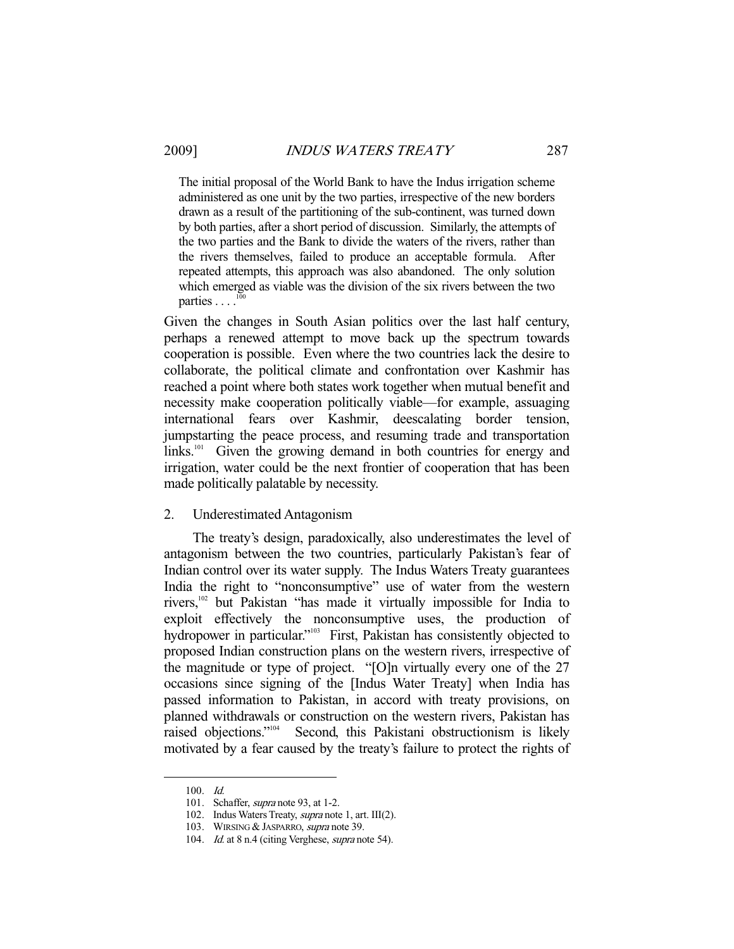The initial proposal of the World Bank to have the Indus irrigation scheme administered as one unit by the two parties, irrespective of the new borders drawn as a result of the partitioning of the sub-continent, was turned down by both parties, after a short period of discussion. Similarly, the attempts of the two parties and the Bank to divide the waters of the rivers, rather than the rivers themselves, failed to produce an acceptable formula. After repeated attempts, this approach was also abandoned. The only solution which emerged as viable was the division of the six rivers between the two parties  $\ldots$ <sup>1</sup>

Given the changes in South Asian politics over the last half century, perhaps a renewed attempt to move back up the spectrum towards cooperation is possible. Even where the two countries lack the desire to collaborate, the political climate and confrontation over Kashmir has reached a point where both states work together when mutual benefit and necessity make cooperation politically viable—for example, assuaging international fears over Kashmir, deescalating border tension, jumpstarting the peace process, and resuming trade and transportation links.<sup>101</sup> Given the growing demand in both countries for energy and irrigation, water could be the next frontier of cooperation that has been made politically palatable by necessity.

## 2. Underestimated Antagonism

 The treaty's design, paradoxically, also underestimates the level of antagonism between the two countries, particularly Pakistan's fear of Indian control over its water supply. The Indus Waters Treaty guarantees India the right to "nonconsumptive" use of water from the western rivers,102 but Pakistan "has made it virtually impossible for India to exploit effectively the nonconsumptive uses, the production of hydropower in particular."<sup>103</sup> First, Pakistan has consistently objected to proposed Indian construction plans on the western rivers, irrespective of the magnitude or type of project. "[O]n virtually every one of the 27 occasions since signing of the [Indus Water Treaty] when India has passed information to Pakistan, in accord with treaty provisions, on planned withdrawals or construction on the western rivers, Pakistan has raised objections."104 Second, this Pakistani obstructionism is likely motivated by a fear caused by the treaty's failure to protect the rights of

 <sup>100.</sup> Id.

<sup>101.</sup> Schaffer, *supra* note 93, at 1-2.

 <sup>102.</sup> Indus Waters Treaty, supra note 1, art. III(2).

<sup>103.</sup> WIRSING & JASPARRO, supra note 39.

<sup>104.</sup> *Id.* at 8 n.4 (citing Verghese, *supra* note 54).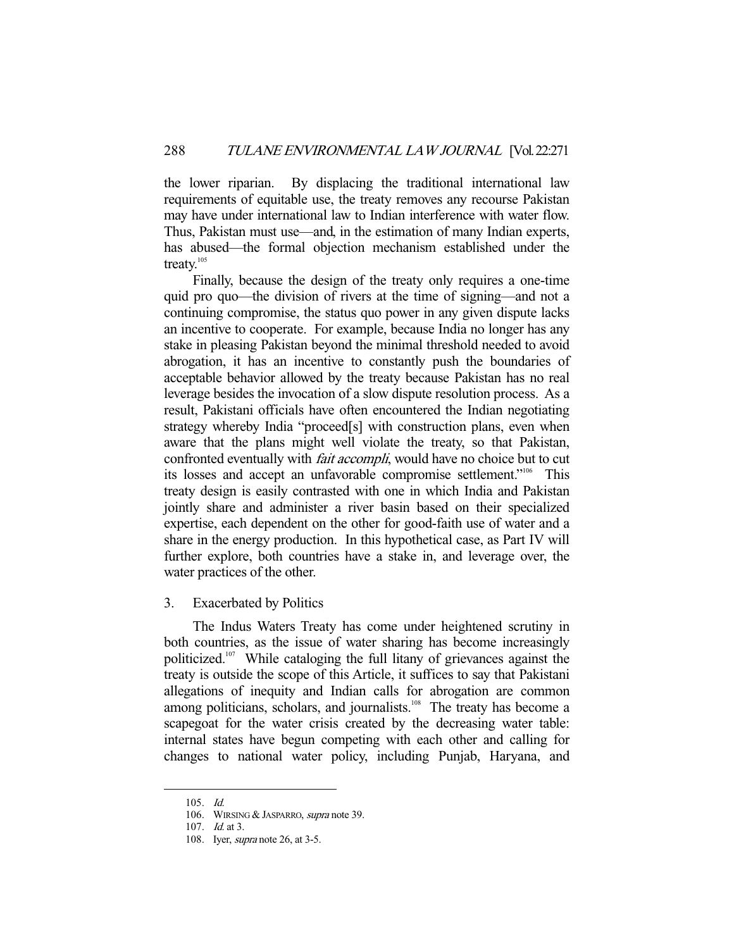the lower riparian. By displacing the traditional international law requirements of equitable use, the treaty removes any recourse Pakistan may have under international law to Indian interference with water flow. Thus, Pakistan must use—and, in the estimation of many Indian experts, has abused—the formal objection mechanism established under the treaty.<sup>105</sup>

 Finally, because the design of the treaty only requires a one-time quid pro quo—the division of rivers at the time of signing—and not a continuing compromise, the status quo power in any given dispute lacks an incentive to cooperate. For example, because India no longer has any stake in pleasing Pakistan beyond the minimal threshold needed to avoid abrogation, it has an incentive to constantly push the boundaries of acceptable behavior allowed by the treaty because Pakistan has no real leverage besides the invocation of a slow dispute resolution process. As a result, Pakistani officials have often encountered the Indian negotiating strategy whereby India "proceed[s] with construction plans, even when aware that the plans might well violate the treaty, so that Pakistan, confronted eventually with *fait accompli*, would have no choice but to cut its losses and accept an unfavorable compromise settlement."106 This treaty design is easily contrasted with one in which India and Pakistan jointly share and administer a river basin based on their specialized expertise, each dependent on the other for good-faith use of water and a share in the energy production. In this hypothetical case, as Part IV will further explore, both countries have a stake in, and leverage over, the water practices of the other.

## 3. Exacerbated by Politics

 The Indus Waters Treaty has come under heightened scrutiny in both countries, as the issue of water sharing has become increasingly politicized.<sup>107</sup> While cataloging the full litany of grievances against the treaty is outside the scope of this Article, it suffices to say that Pakistani allegations of inequity and Indian calls for abrogation are common among politicians, scholars, and journalists.<sup>108</sup> The treaty has become a scapegoat for the water crisis created by the decreasing water table: internal states have begun competing with each other and calling for changes to national water policy, including Punjab, Haryana, and

 <sup>105.</sup> Id.

<sup>106.</sup> WIRSING & JASPARRO, supra note 39.

 <sup>107.</sup> Id. at 3.

<sup>108.</sup> Iyer, *supra* note 26, at 3-5.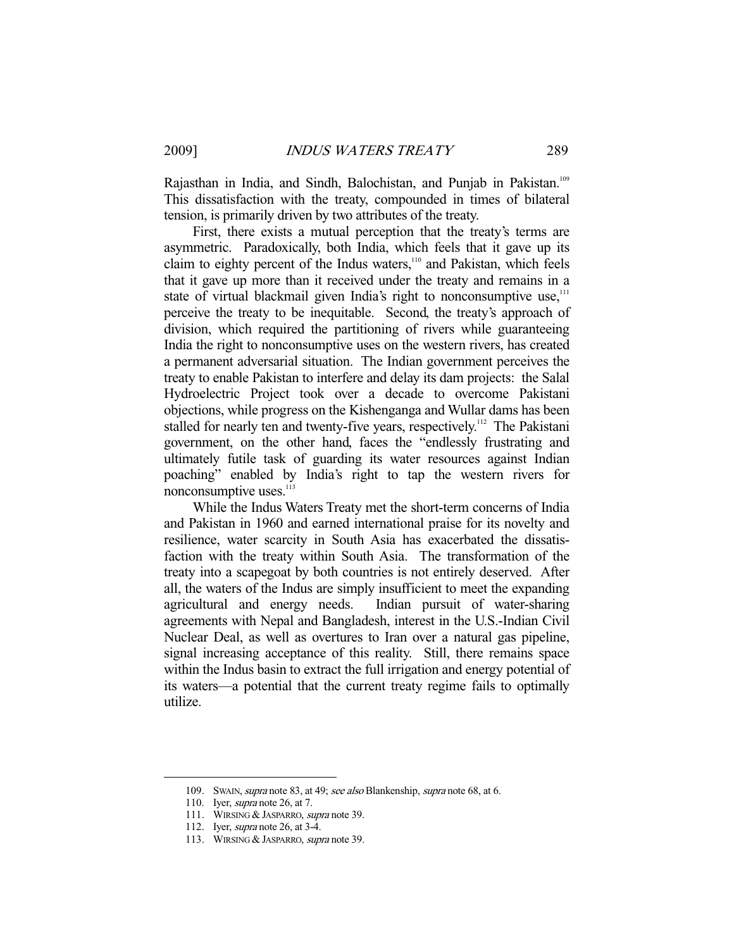Rajasthan in India, and Sindh, Balochistan, and Punjab in Pakistan.<sup>109</sup> This dissatisfaction with the treaty, compounded in times of bilateral tension, is primarily driven by two attributes of the treaty.

 First, there exists a mutual perception that the treaty's terms are asymmetric. Paradoxically, both India, which feels that it gave up its claim to eighty percent of the Indus waters,<sup>110</sup> and Pakistan, which feels that it gave up more than it received under the treaty and remains in a state of virtual blackmail given India's right to nonconsumptive use,<sup>111</sup> perceive the treaty to be inequitable. Second, the treaty's approach of division, which required the partitioning of rivers while guaranteeing India the right to nonconsumptive uses on the western rivers, has created a permanent adversarial situation. The Indian government perceives the treaty to enable Pakistan to interfere and delay its dam projects: the Salal Hydroelectric Project took over a decade to overcome Pakistani objections, while progress on the Kishenganga and Wullar dams has been stalled for nearly ten and twenty-five years, respectively.<sup>112</sup> The Pakistani government, on the other hand, faces the "endlessly frustrating and ultimately futile task of guarding its water resources against Indian poaching" enabled by India's right to tap the western rivers for nonconsumptive uses.<sup>113</sup>

 While the Indus Waters Treaty met the short-term concerns of India and Pakistan in 1960 and earned international praise for its novelty and resilience, water scarcity in South Asia has exacerbated the dissatisfaction with the treaty within South Asia. The transformation of the treaty into a scapegoat by both countries is not entirely deserved. After all, the waters of the Indus are simply insufficient to meet the expanding agricultural and energy needs. Indian pursuit of water-sharing agreements with Nepal and Bangladesh, interest in the U.S.-Indian Civil Nuclear Deal, as well as overtures to Iran over a natural gas pipeline, signal increasing acceptance of this reality. Still, there remains space within the Indus basin to extract the full irrigation and energy potential of its waters—a potential that the current treaty regime fails to optimally utilize.

<sup>109.</sup> SWAIN, supra note 83, at 49; see also Blankenship, supra note 68, at 6.

 <sup>110.</sup> Iyer, supra note 26, at 7.

<sup>111.</sup> WIRSING & JASPARRO, supra note 39.

 <sup>112.</sup> Iyer, supra note 26, at 3-4.

<sup>113.</sup> WIRSING & JASPARRO, supra note 39.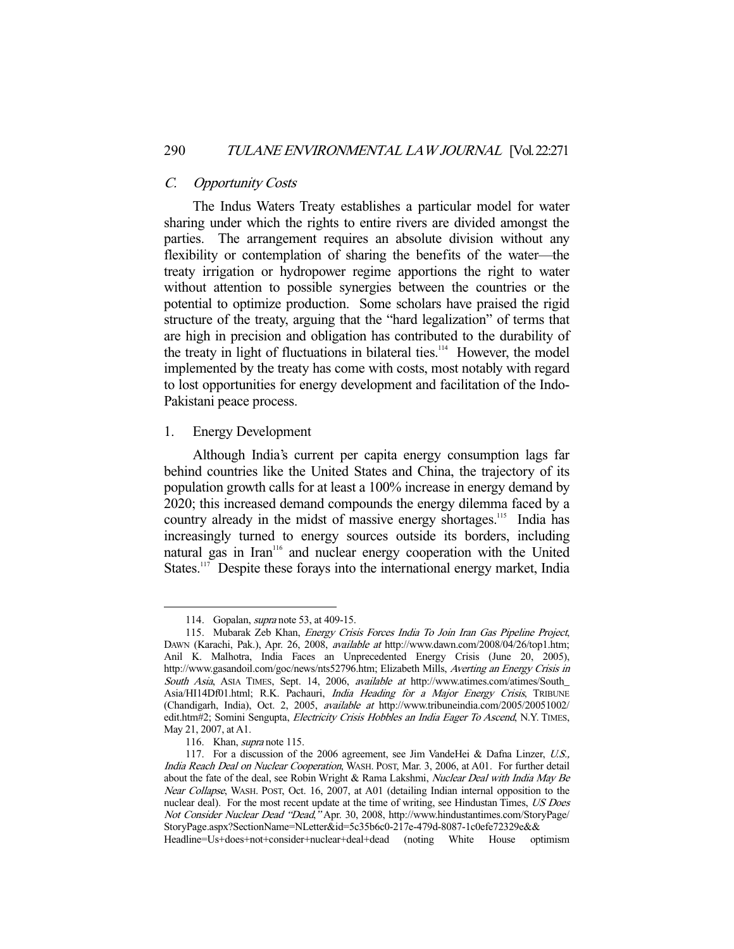#### C. Opportunity Costs

 The Indus Waters Treaty establishes a particular model for water sharing under which the rights to entire rivers are divided amongst the parties. The arrangement requires an absolute division without any flexibility or contemplation of sharing the benefits of the water—the treaty irrigation or hydropower regime apportions the right to water without attention to possible synergies between the countries or the potential to optimize production. Some scholars have praised the rigid structure of the treaty, arguing that the "hard legalization" of terms that are high in precision and obligation has contributed to the durability of the treaty in light of fluctuations in bilateral ties.<sup>114</sup> However, the model implemented by the treaty has come with costs, most notably with regard to lost opportunities for energy development and facilitation of the Indo-Pakistani peace process.

# 1. Energy Development

 Although India's current per capita energy consumption lags far behind countries like the United States and China, the trajectory of its population growth calls for at least a 100% increase in energy demand by 2020; this increased demand compounds the energy dilemma faced by a country already in the midst of massive energy shortages.<sup>115</sup> India has increasingly turned to energy sources outside its borders, including natural gas in Iran<sup>116</sup> and nuclear energy cooperation with the United States.<sup>117</sup> Despite these forays into the international energy market, India

<sup>114.</sup> Gopalan, *supra* note 53, at 409-15.

 <sup>115.</sup> Mubarak Zeb Khan, Energy Crisis Forces India To Join Iran Gas Pipeline Project, DAWN (Karachi, Pak.), Apr. 26, 2008, available at http://www.dawn.com/2008/04/26/top1.htm; Anil K. Malhotra, India Faces an Unprecedented Energy Crisis (June 20, 2005), http://www.gasandoil.com/goc/news/nts52796.htm; Elizabeth Mills, Averting an Energy Crisis in South Asia, ASIA TIMES, Sept. 14, 2006, available at http://www.atimes.com/atimes/South\_ Asia/HI14Df01.html; R.K. Pachauri, India Heading for a Major Energy Crisis, TRIBUNE (Chandigarh, India), Oct. 2, 2005, available at http://www.tribuneindia.com/2005/20051002/ edit.htm#2; Somini Sengupta, Electricity Crisis Hobbles an India Eager To Ascend, N.Y. TIMES, May 21, 2007, at A1.

 <sup>116.</sup> Khan, supra note 115.

 <sup>117.</sup> For a discussion of the 2006 agreement, see Jim VandeHei & Dafna Linzer, U.S., India Reach Deal on Nuclear Cooperation, WASH. POST, Mar. 3, 2006, at A01. For further detail about the fate of the deal, see Robin Wright & Rama Lakshmi, Nuclear Deal with India May Be Near Collapse, WASH. POST, Oct. 16, 2007, at A01 (detailing Indian internal opposition to the nuclear deal). For the most recent update at the time of writing, see Hindustan Times, US Does Not Consider Nuclear Dead "Dead," Apr. 30, 2008, http://www.hindustantimes.com/StoryPage/ StoryPage.aspx?SectionName=NLetter&id=5c35b6c0-217e-479d-8087-1c0efe72329e&& Headline=Us+does+not+consider+nuclear+deal+dead (noting White House optimism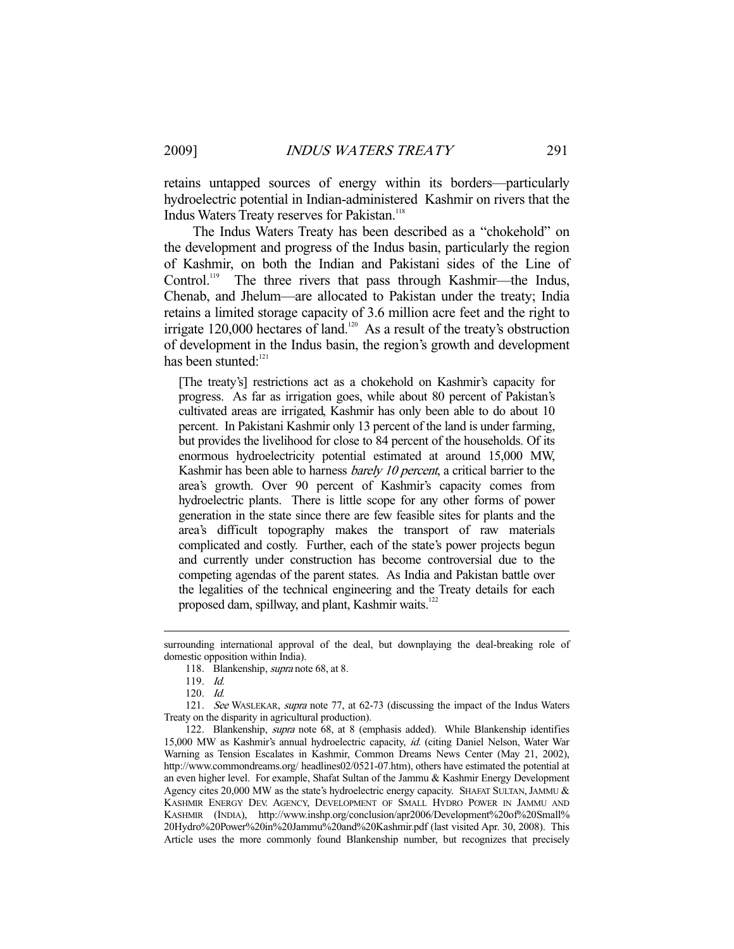retains untapped sources of energy within its borders—particularly hydroelectric potential in Indian-administered Kashmir on rivers that the Indus Waters Treaty reserves for Pakistan.<sup>118</sup>

 The Indus Waters Treaty has been described as a "chokehold" on the development and progress of the Indus basin, particularly the region of Kashmir, on both the Indian and Pakistani sides of the Line of Control.<sup>119</sup> The three rivers that pass through Kashmir—the Indus, Chenab, and Jhelum—are allocated to Pakistan under the treaty; India retains a limited storage capacity of 3.6 million acre feet and the right to irrigate 120,000 hectares of land.<sup>120</sup> As a result of the treaty's obstruction of development in the Indus basin, the region's growth and development has been stunted:<sup>121</sup>

[The treaty's] restrictions act as a chokehold on Kashmir's capacity for progress. As far as irrigation goes, while about 80 percent of Pakistan's cultivated areas are irrigated, Kashmir has only been able to do about 10 percent. In Pakistani Kashmir only 13 percent of the land is under farming, but provides the livelihood for close to 84 percent of the households. Of its enormous hydroelectricity potential estimated at around 15,000 MW, Kashmir has been able to harness *barely 10 percent*, a critical barrier to the area's growth. Over 90 percent of Kashmir's capacity comes from hydroelectric plants. There is little scope for any other forms of power generation in the state since there are few feasible sites for plants and the area's difficult topography makes the transport of raw materials complicated and costly. Further, each of the state's power projects begun and currently under construction has become controversial due to the competing agendas of the parent states. As India and Pakistan battle over the legalities of the technical engineering and the Treaty details for each proposed dam, spillway, and plant, Kashmir waits.<sup>122</sup>

surrounding international approval of the deal, but downplaying the deal-breaking role of domestic opposition within India).

 <sup>118.</sup> Blankenship, supra note 68, at 8.

 <sup>119.</sup> Id.

 <sup>120.</sup> Id.

 <sup>121.</sup> See WASLEKAR, supra note 77, at 62-73 (discussing the impact of the Indus Waters Treaty on the disparity in agricultural production).

 <sup>122.</sup> Blankenship, supra note 68, at 8 (emphasis added). While Blankenship identifies 15,000 MW as Kashmir's annual hydroelectric capacity, id. (citing Daniel Nelson, Water War Warning as Tension Escalates in Kashmir, Common Dreams News Center (May 21, 2002), http://www.commondreams.org/ headlines02/0521-07.htm), others have estimated the potential at an even higher level. For example, Shafat Sultan of the Jammu & Kashmir Energy Development Agency cites 20,000 MW as the state's hydroelectric energy capacity. SHAFAT SULTAN, JAMMU & KASHMIR ENERGY DEV. AGENCY, DEVELOPMENT OF SMALL HYDRO POWER IN JAMMU AND KASHMIR (INDIA), http://www.inshp.org/conclusion/apr2006/Development%20of%20Small% 20Hydro%20Power%20in%20Jammu%20and%20Kashmir.pdf (last visited Apr. 30, 2008). This Article uses the more commonly found Blankenship number, but recognizes that precisely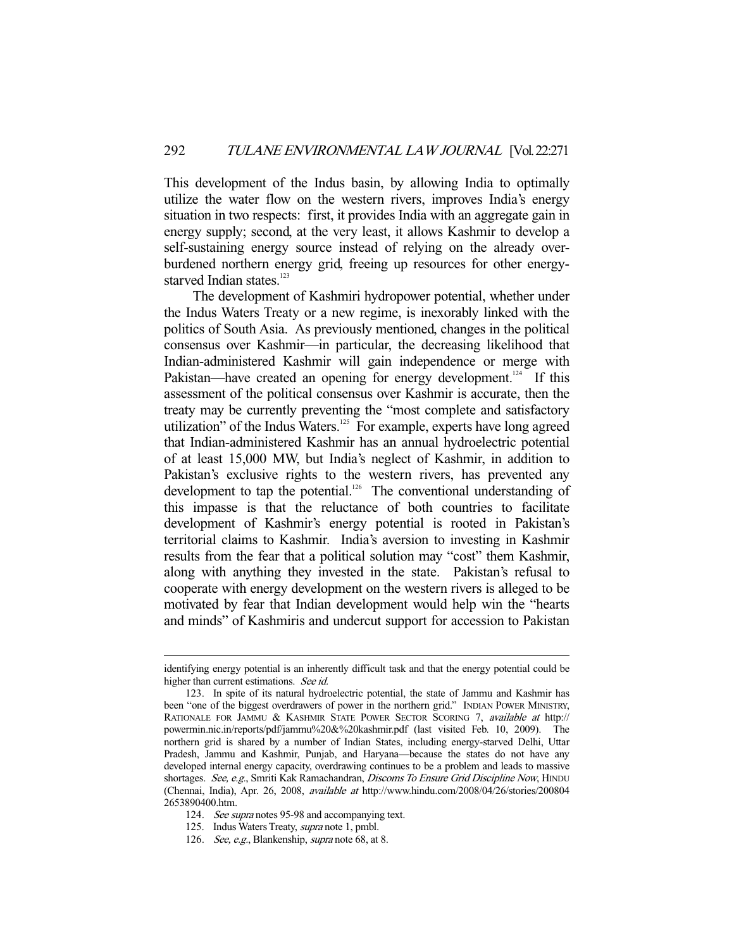This development of the Indus basin, by allowing India to optimally utilize the water flow on the western rivers, improves India's energy situation in two respects: first, it provides India with an aggregate gain in energy supply; second, at the very least, it allows Kashmir to develop a self-sustaining energy source instead of relying on the already overburdened northern energy grid, freeing up resources for other energystarved Indian states.<sup>123</sup>

 The development of Kashmiri hydropower potential, whether under the Indus Waters Treaty or a new regime, is inexorably linked with the politics of South Asia. As previously mentioned, changes in the political consensus over Kashmir—in particular, the decreasing likelihood that Indian-administered Kashmir will gain independence or merge with Pakistan—have created an opening for energy development.<sup>124</sup> If this assessment of the political consensus over Kashmir is accurate, then the treaty may be currently preventing the "most complete and satisfactory utilization" of the Indus Waters. $125$  For example, experts have long agreed that Indian-administered Kashmir has an annual hydroelectric potential of at least 15,000 MW, but India's neglect of Kashmir, in addition to Pakistan's exclusive rights to the western rivers, has prevented any development to tap the potential.<sup>126</sup> The conventional understanding of this impasse is that the reluctance of both countries to facilitate development of Kashmir's energy potential is rooted in Pakistan's territorial claims to Kashmir. India's aversion to investing in Kashmir results from the fear that a political solution may "cost" them Kashmir, along with anything they invested in the state. Pakistan's refusal to cooperate with energy development on the western rivers is alleged to be motivated by fear that Indian development would help win the "hearts and minds" of Kashmiris and undercut support for accession to Pakistan

identifying energy potential is an inherently difficult task and that the energy potential could be higher than current estimations. See id.

 <sup>123.</sup> In spite of its natural hydroelectric potential, the state of Jammu and Kashmir has been "one of the biggest overdrawers of power in the northern grid." INDIAN POWER MINISTRY, RATIONALE FOR JAMMU & KASHMIR STATE POWER SECTOR SCORING 7, available at http:// powermin.nic.in/reports/pdf/jammu%20&%20kashmir.pdf (last visited Feb. 10, 2009). The northern grid is shared by a number of Indian States, including energy-starved Delhi, Uttar Pradesh, Jammu and Kashmir, Punjab, and Haryana—because the states do not have any developed internal energy capacity, overdrawing continues to be a problem and leads to massive shortages. See, e.g., Smriti Kak Ramachandran, Discoms To Ensure Grid Discipline Now, HINDU (Chennai, India), Apr. 26, 2008, available at http://www.hindu.com/2008/04/26/stories/200804 2653890400.htm.

<sup>124.</sup> See supra notes 95-98 and accompanying text.

 <sup>125.</sup> Indus Waters Treaty, supra note 1, pmbl.

<sup>126.</sup> See, e.g., Blankenship, *supra* note 68, at 8.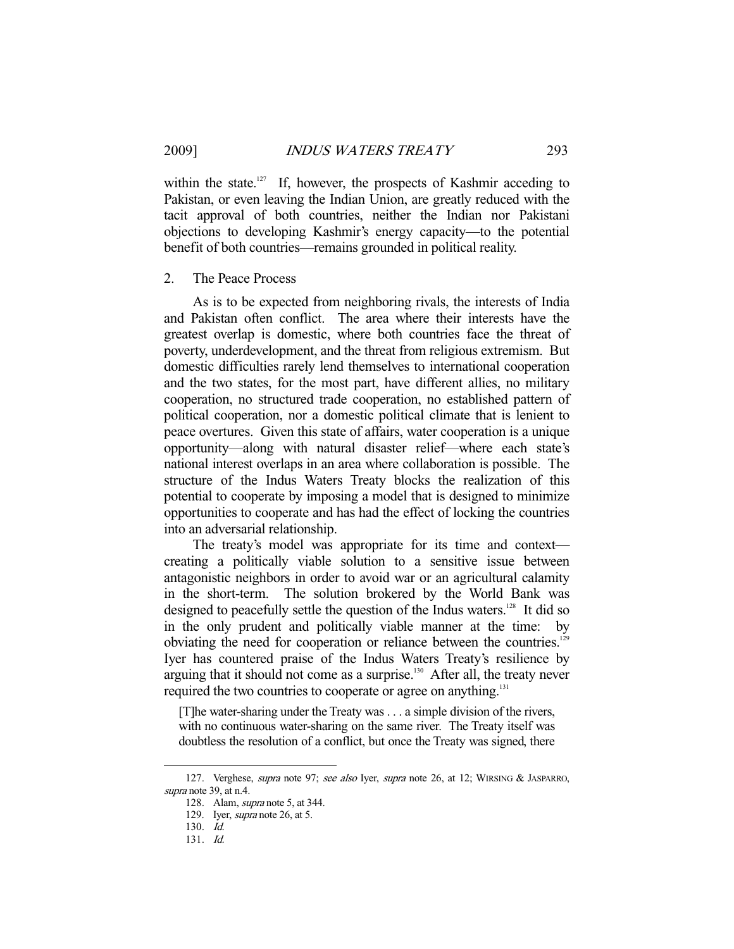within the state.<sup>127</sup> If, however, the prospects of Kashmir acceding to Pakistan, or even leaving the Indian Union, are greatly reduced with the tacit approval of both countries, neither the Indian nor Pakistani objections to developing Kashmir's energy capacity—to the potential benefit of both countries—remains grounded in political reality.

#### 2. The Peace Process

 As is to be expected from neighboring rivals, the interests of India and Pakistan often conflict. The area where their interests have the greatest overlap is domestic, where both countries face the threat of poverty, underdevelopment, and the threat from religious extremism. But domestic difficulties rarely lend themselves to international cooperation and the two states, for the most part, have different allies, no military cooperation, no structured trade cooperation, no established pattern of political cooperation, nor a domestic political climate that is lenient to peace overtures. Given this state of affairs, water cooperation is a unique opportunity—along with natural disaster relief—where each state's national interest overlaps in an area where collaboration is possible. The structure of the Indus Waters Treaty blocks the realization of this potential to cooperate by imposing a model that is designed to minimize opportunities to cooperate and has had the effect of locking the countries into an adversarial relationship.

 The treaty's model was appropriate for its time and context creating a politically viable solution to a sensitive issue between antagonistic neighbors in order to avoid war or an agricultural calamity in the short-term. The solution brokered by the World Bank was designed to peacefully settle the question of the Indus waters.<sup>128</sup> It did so in the only prudent and politically viable manner at the time: by obviating the need for cooperation or reliance between the countries.<sup>129</sup> Iyer has countered praise of the Indus Waters Treaty's resilience by arguing that it should not come as a surprise.<sup>130</sup> After all, the treaty never required the two countries to cooperate or agree on anything.<sup>131</sup>

[T]he water-sharing under the Treaty was . . . a simple division of the rivers, with no continuous water-sharing on the same river. The Treaty itself was doubtless the resolution of a conflict, but once the Treaty was signed, there

<sup>127.</sup> Verghese, supra note 97; see also Iyer, supra note 26, at 12; WIRSING & JASPARRO, supra note 39, at n.4.

 <sup>128.</sup> Alam, supra note 5, at 344.

 <sup>129.</sup> Iyer, supra note 26, at 5.

 <sup>130.</sup> Id.

 <sup>131.</sup> Id.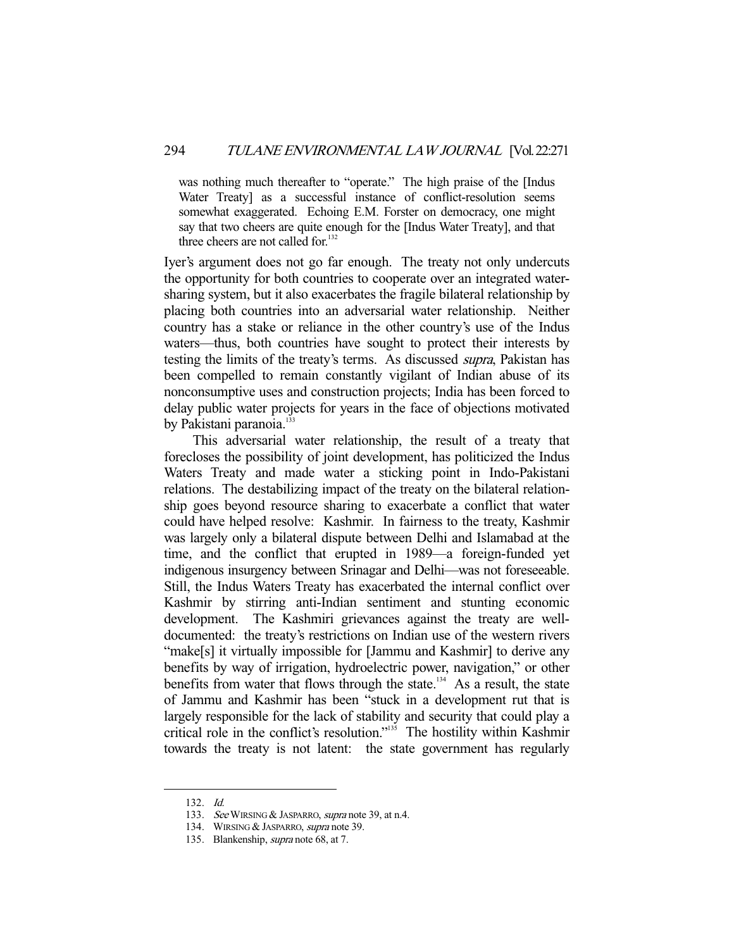was nothing much thereafter to "operate." The high praise of the [Indus Water Treaty] as a successful instance of conflict-resolution seems somewhat exaggerated. Echoing E.M. Forster on democracy, one might say that two cheers are quite enough for the [Indus Water Treaty], and that three cheers are not called for. $132$ 

Iyer's argument does not go far enough. The treaty not only undercuts the opportunity for both countries to cooperate over an integrated watersharing system, but it also exacerbates the fragile bilateral relationship by placing both countries into an adversarial water relationship. Neither country has a stake or reliance in the other country's use of the Indus waters—thus, both countries have sought to protect their interests by testing the limits of the treaty's terms. As discussed supra, Pakistan has been compelled to remain constantly vigilant of Indian abuse of its nonconsumptive uses and construction projects; India has been forced to delay public water projects for years in the face of objections motivated by Pakistani paranoia.<sup>133</sup>

 This adversarial water relationship, the result of a treaty that forecloses the possibility of joint development, has politicized the Indus Waters Treaty and made water a sticking point in Indo-Pakistani relations. The destabilizing impact of the treaty on the bilateral relationship goes beyond resource sharing to exacerbate a conflict that water could have helped resolve: Kashmir. In fairness to the treaty, Kashmir was largely only a bilateral dispute between Delhi and Islamabad at the time, and the conflict that erupted in 1989—a foreign-funded yet indigenous insurgency between Srinagar and Delhi—was not foreseeable. Still, the Indus Waters Treaty has exacerbated the internal conflict over Kashmir by stirring anti-Indian sentiment and stunting economic development. The Kashmiri grievances against the treaty are welldocumented: the treaty's restrictions on Indian use of the western rivers "make[s] it virtually impossible for [Jammu and Kashmir] to derive any benefits by way of irrigation, hydroelectric power, navigation," or other benefits from water that flows through the state.<sup>134</sup> As a result, the state of Jammu and Kashmir has been "stuck in a development rut that is largely responsible for the lack of stability and security that could play a critical role in the conflict's resolution."135 The hostility within Kashmir towards the treaty is not latent: the state government has regularly

 <sup>132.</sup> Id.

<sup>133.</sup> See WIRSING & JASPARRO, supra note 39, at n.4.

 <sup>134.</sup> WIRSING & JASPARRO, supra note 39.

 <sup>135.</sup> Blankenship, supra note 68, at 7.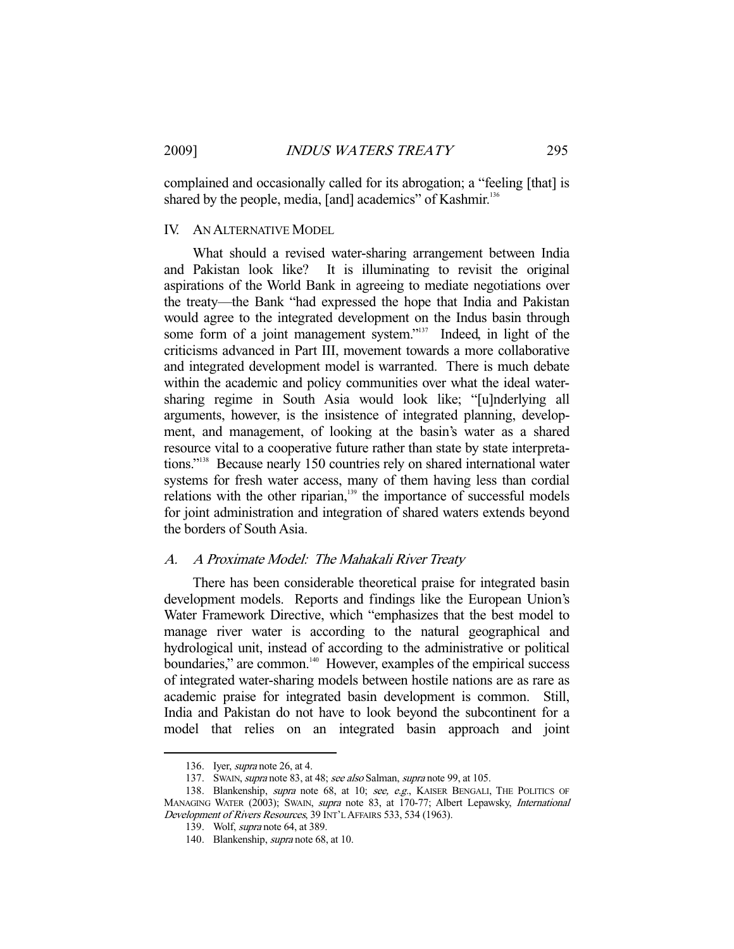complained and occasionally called for its abrogation; a "feeling [that] is shared by the people, media, [and] academics" of Kashmir.<sup>136</sup>

#### IV. AN ALTERNATIVE MODEL

 What should a revised water-sharing arrangement between India and Pakistan look like? It is illuminating to revisit the original aspirations of the World Bank in agreeing to mediate negotiations over the treaty—the Bank "had expressed the hope that India and Pakistan would agree to the integrated development on the Indus basin through some form of a joint management system."<sup>137</sup> Indeed, in light of the criticisms advanced in Part III, movement towards a more collaborative and integrated development model is warranted. There is much debate within the academic and policy communities over what the ideal watersharing regime in South Asia would look like; "[u]nderlying all arguments, however, is the insistence of integrated planning, development, and management, of looking at the basin's water as a shared resource vital to a cooperative future rather than state by state interpretations."138 Because nearly 150 countries rely on shared international water systems for fresh water access, many of them having less than cordial relations with the other riparian,<sup>139</sup> the importance of successful models for joint administration and integration of shared waters extends beyond the borders of South Asia.

## A. A Proximate Model: The Mahakali River Treaty

 There has been considerable theoretical praise for integrated basin development models. Reports and findings like the European Union's Water Framework Directive, which "emphasizes that the best model to manage river water is according to the natural geographical and hydrological unit, instead of according to the administrative or political boundaries," are common.<sup>140</sup> However, examples of the empirical success of integrated water-sharing models between hostile nations are as rare as academic praise for integrated basin development is common. Still, India and Pakistan do not have to look beyond the subcontinent for a model that relies on an integrated basin approach and joint

 <sup>136.</sup> Iyer, supra note 26, at 4.

<sup>137.</sup> Swan, *supra* note 83, at 48; see also Salman, *supra* note 99, at 105.

<sup>138.</sup> Blankenship, supra note 68, at 10; see, e.g., KAISER BENGALI, THE POLITICS OF MANAGING WATER (2003); SWAIN, supra note 83, at 170-77; Albert Lepawsky, International Development of Rivers Resources, 39 INT'L AFFAIRS 533, 534 (1963).

 <sup>139.</sup> Wolf, supra note 64, at 389.

 <sup>140.</sup> Blankenship, supra note 68, at 10.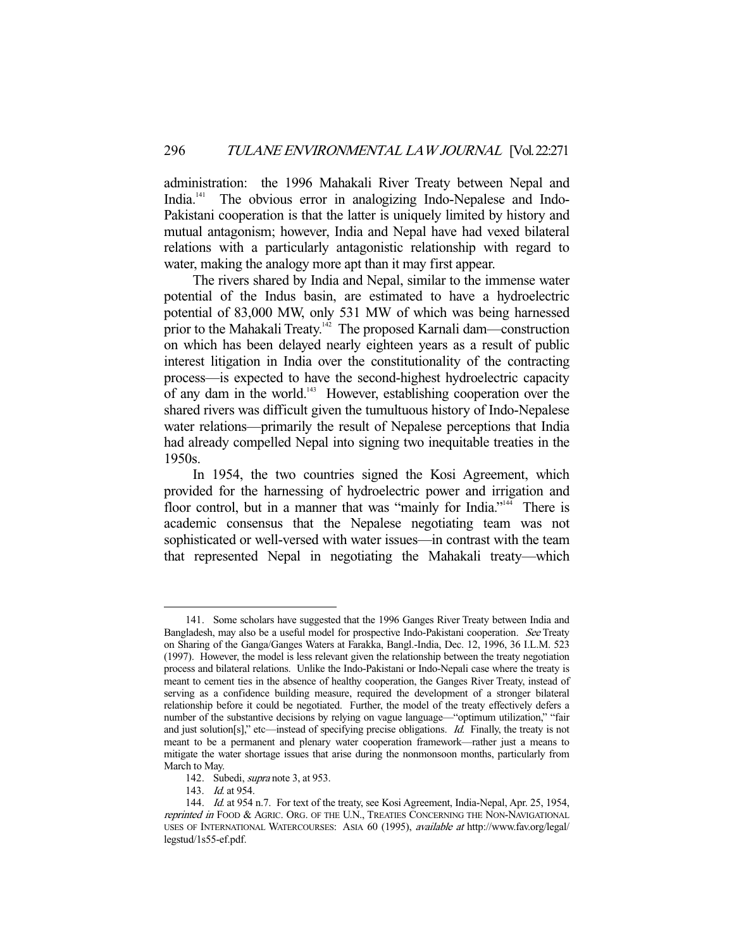administration: the 1996 Mahakali River Treaty between Nepal and India.<sup>141</sup> The obvious error in analogizing Indo-Nepalese and Indo-The obvious error in analogizing Indo-Nepalese and Indo-Pakistani cooperation is that the latter is uniquely limited by history and mutual antagonism; however, India and Nepal have had vexed bilateral relations with a particularly antagonistic relationship with regard to water, making the analogy more apt than it may first appear.

 The rivers shared by India and Nepal, similar to the immense water potential of the Indus basin, are estimated to have a hydroelectric potential of 83,000 MW, only 531 MW of which was being harnessed prior to the Mahakali Treaty.<sup>142</sup> The proposed Karnali dam—construction on which has been delayed nearly eighteen years as a result of public interest litigation in India over the constitutionality of the contracting process—is expected to have the second-highest hydroelectric capacity of any dam in the world.143 However, establishing cooperation over the shared rivers was difficult given the tumultuous history of Indo-Nepalese water relations—primarily the result of Nepalese perceptions that India had already compelled Nepal into signing two inequitable treaties in the 1950s.

 In 1954, the two countries signed the Kosi Agreement, which provided for the harnessing of hydroelectric power and irrigation and floor control, but in a manner that was "mainly for India."<sup>144</sup> There is academic consensus that the Nepalese negotiating team was not sophisticated or well-versed with water issues—in contrast with the team that represented Nepal in negotiating the Mahakali treaty—which

 <sup>141.</sup> Some scholars have suggested that the 1996 Ganges River Treaty between India and Bangladesh, may also be a useful model for prospective Indo-Pakistani cooperation. See Treaty on Sharing of the Ganga/Ganges Waters at Farakka, Bangl.-India, Dec. 12, 1996, 36 I.L.M. 523 (1997). However, the model is less relevant given the relationship between the treaty negotiation process and bilateral relations. Unlike the Indo-Pakistani or Indo-Nepali case where the treaty is meant to cement ties in the absence of healthy cooperation, the Ganges River Treaty, instead of serving as a confidence building measure, required the development of a stronger bilateral relationship before it could be negotiated. Further, the model of the treaty effectively defers a number of the substantive decisions by relying on vague language—"optimum utilization," "fair and just solution[s]," etc—instead of specifying precise obligations. *Id.* Finally, the treaty is not meant to be a permanent and plenary water cooperation framework—rather just a means to mitigate the water shortage issues that arise during the nonmonsoon months, particularly from March to May.

 <sup>142.</sup> Subedi, supra note 3, at 953.

 <sup>143.</sup> Id. at 954.

<sup>144.</sup> Id. at 954 n.7. For text of the treaty, see Kosi Agreement, India-Nepal, Apr. 25, 1954, reprinted in FOOD & AGRIC. ORG. OF THE U.N., TREATIES CONCERNING THE NON-NAVIGATIONAL USES OF INTERNATIONAL WATERCOURSES: ASIA 60 (1995), available at http://www.fav.org/legal/ legstud/1s55-ef.pdf.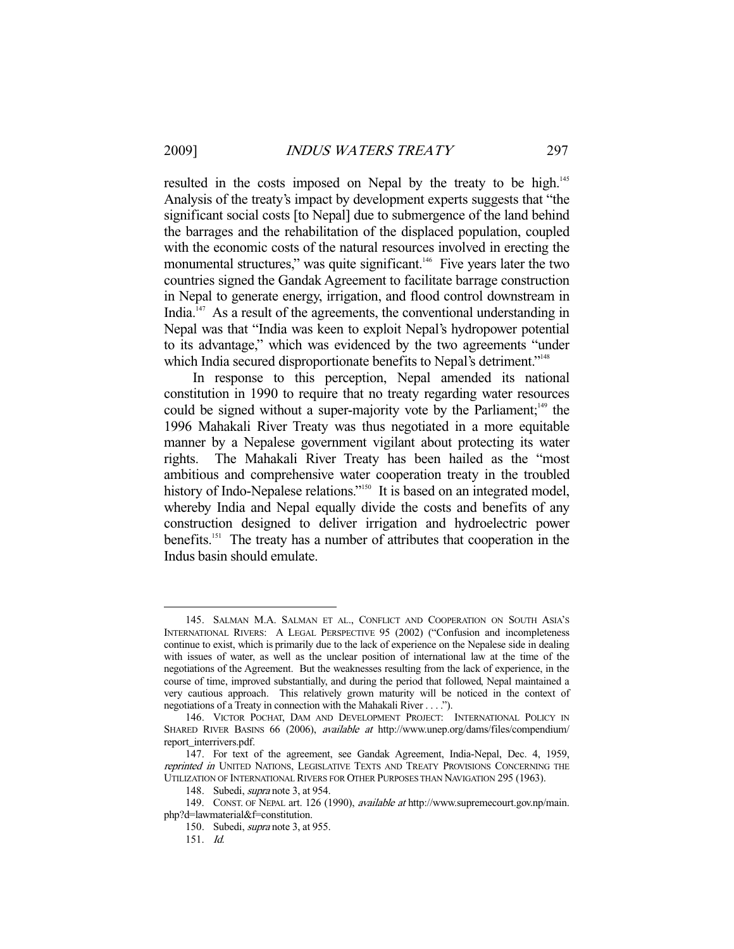resulted in the costs imposed on Nepal by the treaty to be high.<sup>145</sup> Analysis of the treaty's impact by development experts suggests that "the significant social costs [to Nepal] due to submergence of the land behind the barrages and the rehabilitation of the displaced population, coupled with the economic costs of the natural resources involved in erecting the monumental structures," was quite significant.<sup>146</sup> Five years later the two countries signed the Gandak Agreement to facilitate barrage construction in Nepal to generate energy, irrigation, and flood control downstream in India.<sup>147</sup> As a result of the agreements, the conventional understanding in Nepal was that "India was keen to exploit Nepal's hydropower potential to its advantage," which was evidenced by the two agreements "under which India secured disproportionate benefits to Nepal's detriment."<sup>148</sup>

 In response to this perception, Nepal amended its national constitution in 1990 to require that no treaty regarding water resources could be signed without a super-majority vote by the Parliament; $149$  the 1996 Mahakali River Treaty was thus negotiated in a more equitable manner by a Nepalese government vigilant about protecting its water rights. The Mahakali River Treaty has been hailed as the "most ambitious and comprehensive water cooperation treaty in the troubled history of Indo-Nepalese relations."<sup>150</sup> It is based on an integrated model, whereby India and Nepal equally divide the costs and benefits of any construction designed to deliver irrigation and hydroelectric power benefits.<sup>151</sup> The treaty has a number of attributes that cooperation in the Indus basin should emulate.

 <sup>145.</sup> SALMAN M.A. SALMAN ET AL., CONFLICT AND COOPERATION ON SOUTH ASIA'S INTERNATIONAL RIVERS: A LEGAL PERSPECTIVE 95 (2002) ("Confusion and incompleteness continue to exist, which is primarily due to the lack of experience on the Nepalese side in dealing with issues of water, as well as the unclear position of international law at the time of the negotiations of the Agreement. But the weaknesses resulting from the lack of experience, in the course of time, improved substantially, and during the period that followed, Nepal maintained a very cautious approach. This relatively grown maturity will be noticed in the context of negotiations of a Treaty in connection with the Mahakali River . . . .").

 <sup>146.</sup> VICTOR POCHAT, DAM AND DEVELOPMENT PROJECT: INTERNATIONAL POLICY IN SHARED RIVER BASINS 66 (2006), available at http://www.unep.org/dams/files/compendium/ report\_interrivers.pdf.

 <sup>147.</sup> For text of the agreement, see Gandak Agreement, India-Nepal, Dec. 4, 1959, reprinted in UNITED NATIONS, LEGISLATIVE TEXTS AND TREATY PROVISIONS CONCERNING THE UTILIZATION OF INTERNATIONAL RIVERS FOR OTHER PURPOSES THAN NAVIGATION 295 (1963).

 <sup>148.</sup> Subedi, supra note 3, at 954.

 <sup>149.</sup> CONST. OF NEPAL art. 126 (1990), available at http://www.supremecourt.gov.np/main. php?d=lawmaterial&f=constitution.

 <sup>150.</sup> Subedi, supra note 3, at 955.

 <sup>151.</sup> Id.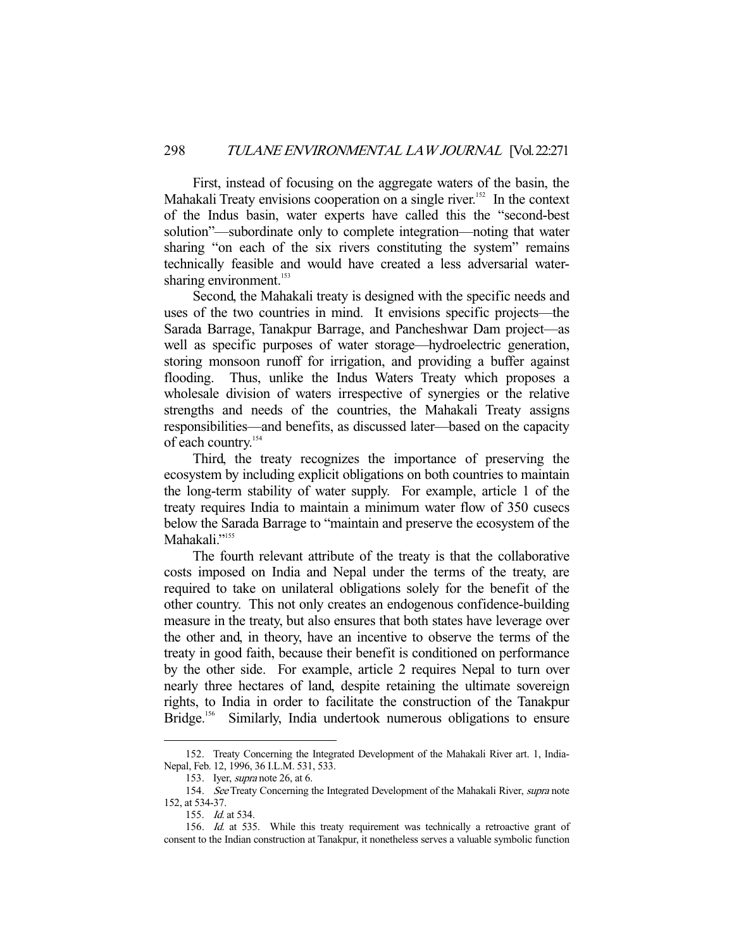First, instead of focusing on the aggregate waters of the basin, the Mahakali Treaty envisions cooperation on a single river.<sup>152</sup> In the context of the Indus basin, water experts have called this the "second-best solution"—subordinate only to complete integration—noting that water sharing "on each of the six rivers constituting the system" remains technically feasible and would have created a less adversarial watersharing environment.<sup>153</sup>

 Second, the Mahakali treaty is designed with the specific needs and uses of the two countries in mind. It envisions specific projects—the Sarada Barrage, Tanakpur Barrage, and Pancheshwar Dam project—as well as specific purposes of water storage—hydroelectric generation, storing monsoon runoff for irrigation, and providing a buffer against flooding. Thus, unlike the Indus Waters Treaty which proposes a wholesale division of waters irrespective of synergies or the relative strengths and needs of the countries, the Mahakali Treaty assigns responsibilities—and benefits, as discussed later—based on the capacity of each country.<sup>154</sup>

 Third, the treaty recognizes the importance of preserving the ecosystem by including explicit obligations on both countries to maintain the long-term stability of water supply. For example, article 1 of the treaty requires India to maintain a minimum water flow of 350 cusecs below the Sarada Barrage to "maintain and preserve the ecosystem of the Mahakali."155

 The fourth relevant attribute of the treaty is that the collaborative costs imposed on India and Nepal under the terms of the treaty, are required to take on unilateral obligations solely for the benefit of the other country. This not only creates an endogenous confidence-building measure in the treaty, but also ensures that both states have leverage over the other and, in theory, have an incentive to observe the terms of the treaty in good faith, because their benefit is conditioned on performance by the other side. For example, article 2 requires Nepal to turn over nearly three hectares of land, despite retaining the ultimate sovereign rights, to India in order to facilitate the construction of the Tanakpur<br>Bridge.<sup>156</sup> Similarly, India undertook numerous obligations to ensure Similarly, India undertook numerous obligations to ensure

 <sup>152.</sup> Treaty Concerning the Integrated Development of the Mahakali River art. 1, India-Nepal, Feb. 12, 1996, 36 I.L.M. 531, 533.

 <sup>153.</sup> Iyer, supra note 26, at 6.

<sup>154.</sup> See Treaty Concerning the Integrated Development of the Mahakali River, supra note 152, at 534-37.

 <sup>155.</sup> Id. at 534.

<sup>156.</sup> Id. at 535. While this treaty requirement was technically a retroactive grant of consent to the Indian construction at Tanakpur, it nonetheless serves a valuable symbolic function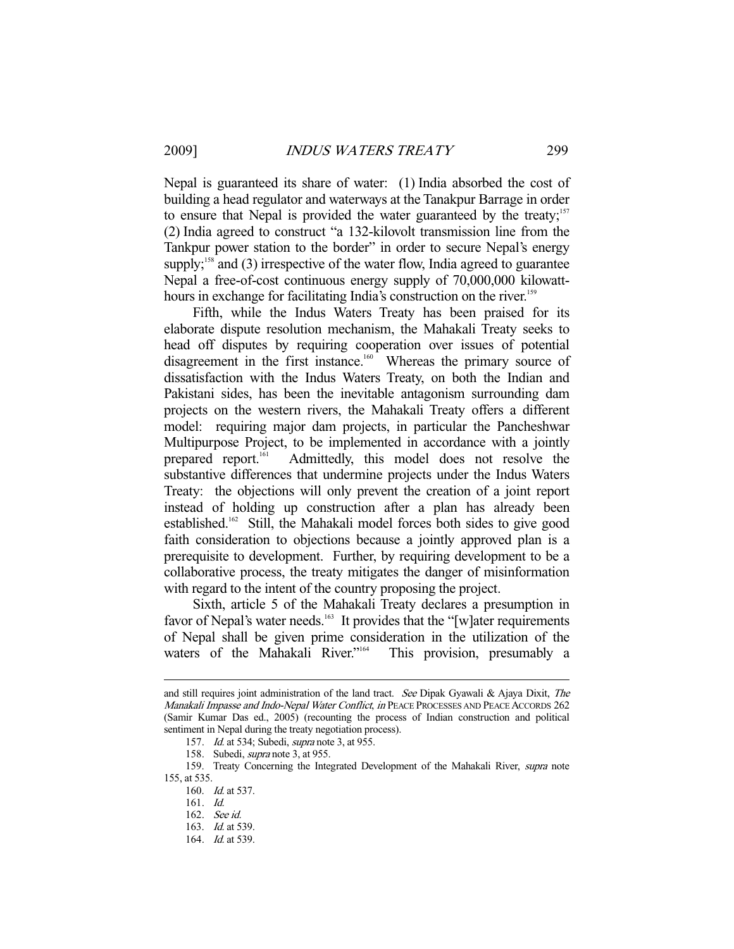Nepal is guaranteed its share of water: (1) India absorbed the cost of building a head regulator and waterways at the Tanakpur Barrage in order to ensure that Nepal is provided the water guaranteed by the treaty; $157$ (2) India agreed to construct "a 132-kilovolt transmission line from the Tankpur power station to the border" in order to secure Nepal's energy supply;<sup>158</sup> and (3) irrespective of the water flow, India agreed to guarantee Nepal a free-of-cost continuous energy supply of 70,000,000 kilowatthours in exchange for facilitating India's construction on the river.<sup>159</sup>

 Fifth, while the Indus Waters Treaty has been praised for its elaborate dispute resolution mechanism, the Mahakali Treaty seeks to head off disputes by requiring cooperation over issues of potential disagreement in the first instance.<sup>160</sup> Whereas the primary source of dissatisfaction with the Indus Waters Treaty, on both the Indian and Pakistani sides, has been the inevitable antagonism surrounding dam projects on the western rivers, the Mahakali Treaty offers a different model: requiring major dam projects, in particular the Pancheshwar Multipurpose Project, to be implemented in accordance with a jointly prepared report.161 Admittedly, this model does not resolve the substantive differences that undermine projects under the Indus Waters Treaty: the objections will only prevent the creation of a joint report instead of holding up construction after a plan has already been established.162 Still, the Mahakali model forces both sides to give good faith consideration to objections because a jointly approved plan is a prerequisite to development. Further, by requiring development to be a collaborative process, the treaty mitigates the danger of misinformation with regard to the intent of the country proposing the project.

 Sixth, article 5 of the Mahakali Treaty declares a presumption in favor of Nepal's water needs.<sup>163</sup> It provides that the "[w]ater requirements of Nepal shall be given prime consideration in the utilization of the waters of the Mahakali River."<sup>164</sup> This provision, presumably a

and still requires joint administration of the land tract. See Dipak Gyawali & Ajaya Dixit, The Manakali Impasse and Indo-Nepal Water Conflict, in PEACE PROCESSES AND PEACE ACCORDS 262 (Samir Kumar Das ed., 2005) (recounting the process of Indian construction and political sentiment in Nepal during the treaty negotiation process).

<sup>157.</sup> *Id.* at 534; Subedi, *supra* note 3, at 955.

 <sup>158.</sup> Subedi, supra note 3, at 955.

 <sup>159.</sup> Treaty Concerning the Integrated Development of the Mahakali River, supra note 155, at 535.

 <sup>160.</sup> Id. at 537.

 <sup>161.</sup> Id.

 <sup>162.</sup> See id.

<sup>163.</sup> *Id.* at 539.

<sup>164.</sup> *Id.* at 539.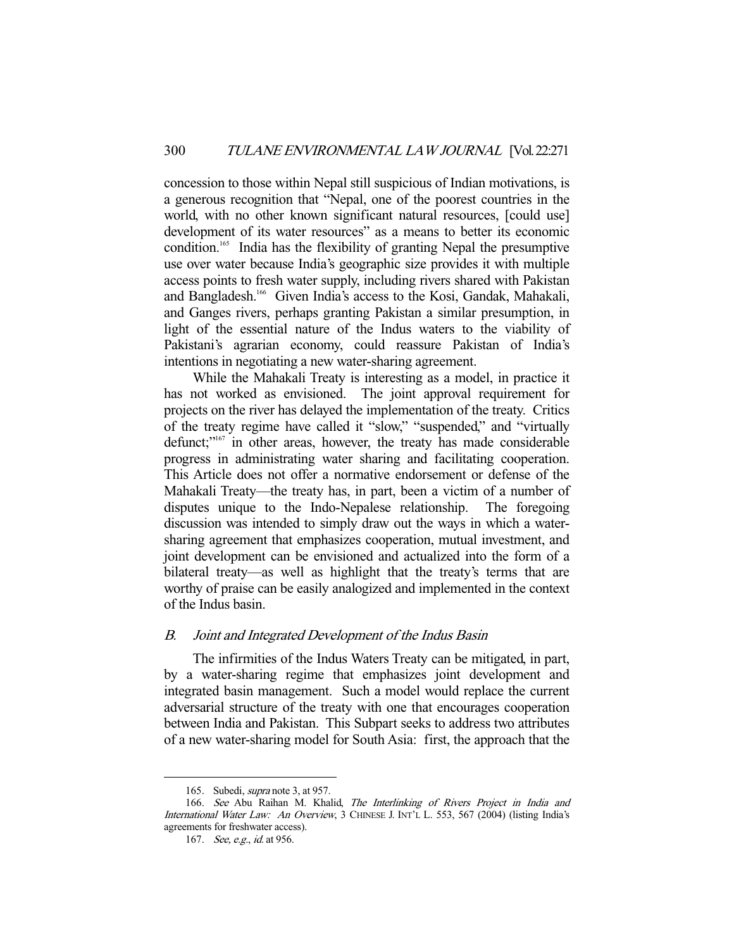concession to those within Nepal still suspicious of Indian motivations, is a generous recognition that "Nepal, one of the poorest countries in the world, with no other known significant natural resources, [could use] development of its water resources" as a means to better its economic condition.165 India has the flexibility of granting Nepal the presumptive use over water because India's geographic size provides it with multiple access points to fresh water supply, including rivers shared with Pakistan and Bangladesh.<sup>166</sup> Given India's access to the Kosi, Gandak, Mahakali, and Ganges rivers, perhaps granting Pakistan a similar presumption, in light of the essential nature of the Indus waters to the viability of Pakistani's agrarian economy, could reassure Pakistan of India's intentions in negotiating a new water-sharing agreement.

 While the Mahakali Treaty is interesting as a model, in practice it has not worked as envisioned. The joint approval requirement for projects on the river has delayed the implementation of the treaty. Critics of the treaty regime have called it "slow," "suspended," and "virtually defunct;"167 in other areas, however, the treaty has made considerable progress in administrating water sharing and facilitating cooperation. This Article does not offer a normative endorsement or defense of the Mahakali Treaty—the treaty has, in part, been a victim of a number of disputes unique to the Indo-Nepalese relationship. The foregoing discussion was intended to simply draw out the ways in which a watersharing agreement that emphasizes cooperation, mutual investment, and joint development can be envisioned and actualized into the form of a bilateral treaty—as well as highlight that the treaty's terms that are worthy of praise can be easily analogized and implemented in the context of the Indus basin.

## B. Joint and Integrated Development of the Indus Basin

 The infirmities of the Indus Waters Treaty can be mitigated, in part, by a water-sharing regime that emphasizes joint development and integrated basin management. Such a model would replace the current adversarial structure of the treaty with one that encourages cooperation between India and Pakistan. This Subpart seeks to address two attributes of a new water-sharing model for South Asia: first, the approach that the

 <sup>165.</sup> Subedi, supra note 3, at 957.

<sup>166.</sup> See Abu Raihan M. Khalid, The Interlinking of Rivers Project in India and International Water Law: An Overview, 3 CHINESE J. INT'L L. 553, 567 (2004) (listing India's agreements for freshwater access).

<sup>167.</sup> See, e.g., id. at 956.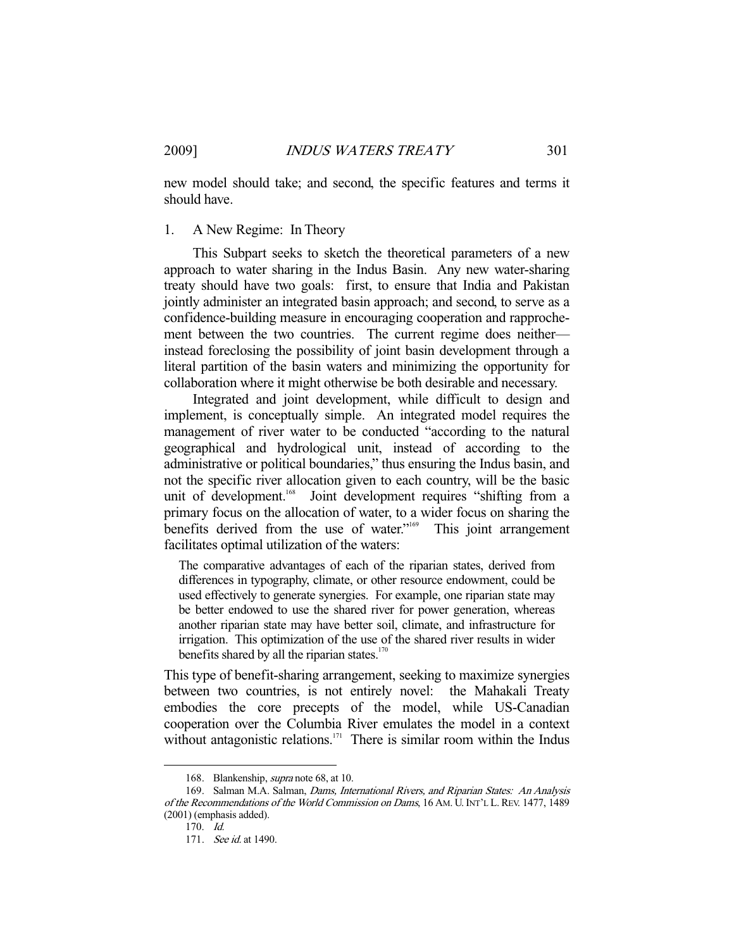new model should take; and second, the specific features and terms it should have.

# 1. A New Regime: In Theory

 This Subpart seeks to sketch the theoretical parameters of a new approach to water sharing in the Indus Basin. Any new water-sharing treaty should have two goals: first, to ensure that India and Pakistan jointly administer an integrated basin approach; and second, to serve as a confidence-building measure in encouraging cooperation and rapprochement between the two countries. The current regime does neither instead foreclosing the possibility of joint basin development through a literal partition of the basin waters and minimizing the opportunity for collaboration where it might otherwise be both desirable and necessary.

 Integrated and joint development, while difficult to design and implement, is conceptually simple. An integrated model requires the management of river water to be conducted "according to the natural geographical and hydrological unit, instead of according to the administrative or political boundaries," thus ensuring the Indus basin, and not the specific river allocation given to each country, will be the basic unit of development.<sup>168</sup> Joint development requires "shifting from a primary focus on the allocation of water, to a wider focus on sharing the benefits derived from the use of water."<sup>169</sup> This joint arrangement facilitates optimal utilization of the waters:

The comparative advantages of each of the riparian states, derived from differences in typography, climate, or other resource endowment, could be used effectively to generate synergies. For example, one riparian state may be better endowed to use the shared river for power generation, whereas another riparian state may have better soil, climate, and infrastructure for irrigation. This optimization of the use of the shared river results in wider benefits shared by all the riparian states. $170$ 

This type of benefit-sharing arrangement, seeking to maximize synergies between two countries, is not entirely novel: the Mahakali Treaty embodies the core precepts of the model, while US-Canadian cooperation over the Columbia River emulates the model in a context without antagonistic relations.<sup>171</sup> There is similar room within the Indus

 <sup>168.</sup> Blankenship, supra note 68, at 10.

 <sup>169.</sup> Salman M.A. Salman, Dams, International Rivers, and Riparian States: An Analysis of the Recommendations of the World Commission on Dams, 16 AM. U.INT'L L. REV. 1477, 1489 (2001) (emphasis added).

 <sup>170.</sup> Id.

 <sup>171.</sup> See id. at 1490.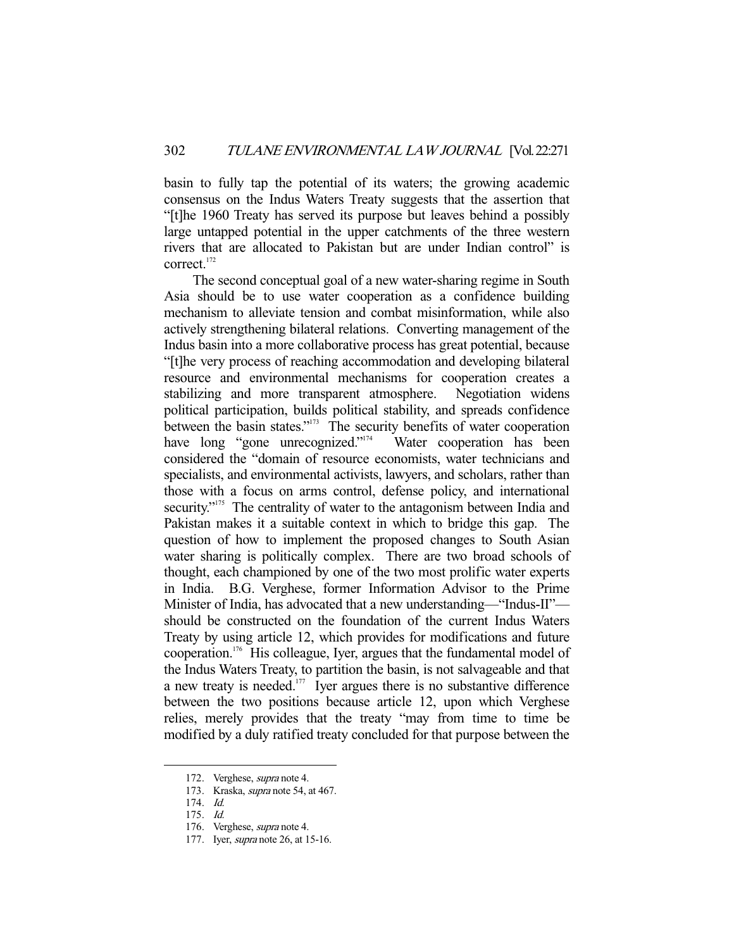basin to fully tap the potential of its waters; the growing academic consensus on the Indus Waters Treaty suggests that the assertion that "[t]he 1960 Treaty has served its purpose but leaves behind a possibly large untapped potential in the upper catchments of the three western rivers that are allocated to Pakistan but are under Indian control" is correct.<sup>172</sup>

 The second conceptual goal of a new water-sharing regime in South Asia should be to use water cooperation as a confidence building mechanism to alleviate tension and combat misinformation, while also actively strengthening bilateral relations. Converting management of the Indus basin into a more collaborative process has great potential, because "[t]he very process of reaching accommodation and developing bilateral resource and environmental mechanisms for cooperation creates a stabilizing and more transparent atmosphere. Negotiation widens political participation, builds political stability, and spreads confidence between the basin states."<sup>173</sup> The security benefits of water cooperation have long "gone unrecognized."<sup>174</sup> Water cooperation has been have long "gone unrecognized." $174$ considered the "domain of resource economists, water technicians and specialists, and environmental activists, lawyers, and scholars, rather than those with a focus on arms control, defense policy, and international security."<sup>175</sup> The centrality of water to the antagonism between India and Pakistan makes it a suitable context in which to bridge this gap. The question of how to implement the proposed changes to South Asian water sharing is politically complex. There are two broad schools of thought, each championed by one of the two most prolific water experts in India. B.G. Verghese, former Information Advisor to the Prime Minister of India, has advocated that a new understanding—"Indus-II" should be constructed on the foundation of the current Indus Waters Treaty by using article 12, which provides for modifications and future cooperation.176 His colleague, Iyer, argues that the fundamental model of the Indus Waters Treaty, to partition the basin, is not salvageable and that a new treaty is needed. $177$  Iyer argues there is no substantive difference between the two positions because article 12, upon which Verghese relies, merely provides that the treaty "may from time to time be modified by a duly ratified treaty concluded for that purpose between the

 <sup>172.</sup> Verghese, supra note 4.

 <sup>173.</sup> Kraska, supra note 54, at 467.

 <sup>174.</sup> Id.

 <sup>175.</sup> Id.

 <sup>176.</sup> Verghese, supra note 4.

 <sup>177.</sup> Iyer, supra note 26, at 15-16.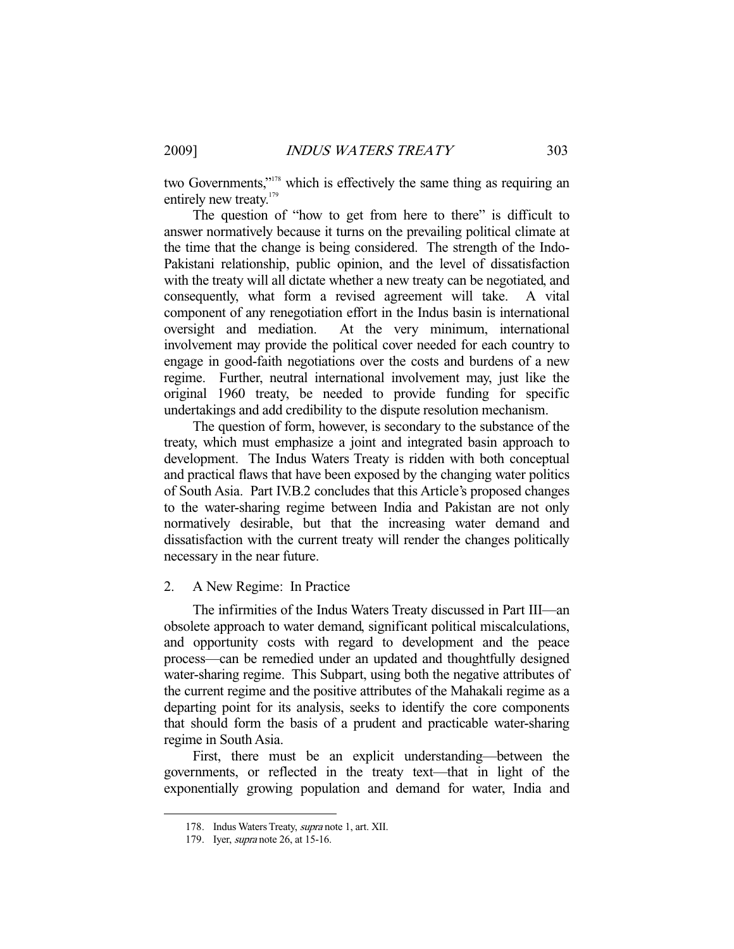two Governments,"<sup>178</sup> which is effectively the same thing as requiring an entirely new treaty.<sup>179</sup>

 The question of "how to get from here to there" is difficult to answer normatively because it turns on the prevailing political climate at the time that the change is being considered. The strength of the Indo-Pakistani relationship, public opinion, and the level of dissatisfaction with the treaty will all dictate whether a new treaty can be negotiated, and consequently, what form a revised agreement will take. A vital component of any renegotiation effort in the Indus basin is international oversight and mediation. At the very minimum, international involvement may provide the political cover needed for each country to engage in good-faith negotiations over the costs and burdens of a new regime. Further, neutral international involvement may, just like the original 1960 treaty, be needed to provide funding for specific undertakings and add credibility to the dispute resolution mechanism.

 The question of form, however, is secondary to the substance of the treaty, which must emphasize a joint and integrated basin approach to development. The Indus Waters Treaty is ridden with both conceptual and practical flaws that have been exposed by the changing water politics of South Asia. Part IV.B.2 concludes that this Article's proposed changes to the water-sharing regime between India and Pakistan are not only normatively desirable, but that the increasing water demand and dissatisfaction with the current treaty will render the changes politically necessary in the near future.

# 2. A New Regime: In Practice

 The infirmities of the Indus Waters Treaty discussed in Part III—an obsolete approach to water demand, significant political miscalculations, and opportunity costs with regard to development and the peace process—can be remedied under an updated and thoughtfully designed water-sharing regime. This Subpart, using both the negative attributes of the current regime and the positive attributes of the Mahakali regime as a departing point for its analysis, seeks to identify the core components that should form the basis of a prudent and practicable water-sharing regime in South Asia.

 First, there must be an explicit understanding—between the governments, or reflected in the treaty text—that in light of the exponentially growing population and demand for water, India and

 <sup>178.</sup> Indus Waters Treaty, supra note 1, art. XII.

 <sup>179.</sup> Iyer, supra note 26, at 15-16.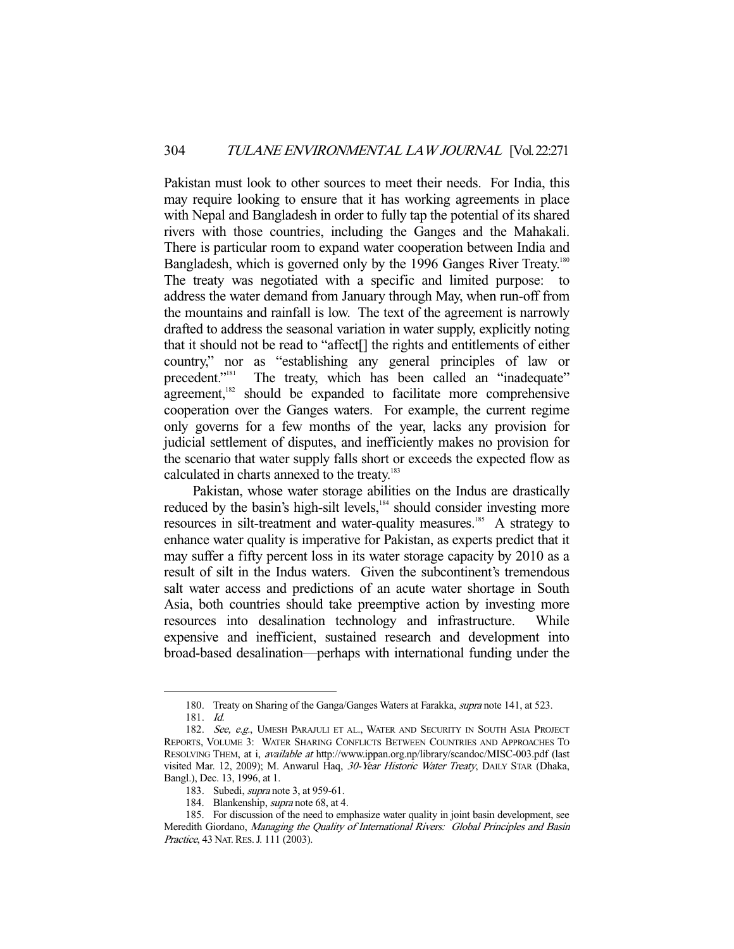Pakistan must look to other sources to meet their needs. For India, this may require looking to ensure that it has working agreements in place with Nepal and Bangladesh in order to fully tap the potential of its shared rivers with those countries, including the Ganges and the Mahakali. There is particular room to expand water cooperation between India and Bangladesh, which is governed only by the 1996 Ganges River Treaty.<sup>180</sup> The treaty was negotiated with a specific and limited purpose: to address the water demand from January through May, when run-off from the mountains and rainfall is low. The text of the agreement is narrowly drafted to address the seasonal variation in water supply, explicitly noting that it should not be read to "affect[] the rights and entitlements of either country," nor as "establishing any general principles of law or precedent."<sup>181</sup> The treaty, which has been called an "inadequate" The treaty, which has been called an "inadequate" agreement,<sup>182</sup> should be expanded to facilitate more comprehensive cooperation over the Ganges waters. For example, the current regime only governs for a few months of the year, lacks any provision for judicial settlement of disputes, and inefficiently makes no provision for the scenario that water supply falls short or exceeds the expected flow as calculated in charts annexed to the treaty.<sup>183</sup>

 Pakistan, whose water storage abilities on the Indus are drastically reduced by the basin's high-silt levels,<sup>184</sup> should consider investing more resources in silt-treatment and water-quality measures.<sup>185</sup> A strategy to enhance water quality is imperative for Pakistan, as experts predict that it may suffer a fifty percent loss in its water storage capacity by 2010 as a result of silt in the Indus waters. Given the subcontinent's tremendous salt water access and predictions of an acute water shortage in South Asia, both countries should take preemptive action by investing more resources into desalination technology and infrastructure. While expensive and inefficient, sustained research and development into broad-based desalination—perhaps with international funding under the

<sup>180.</sup> Treaty on Sharing of the Ganga/Ganges Waters at Farakka, *supra* note 141, at 523.

 <sup>181.</sup> Id.

<sup>182.</sup> See, e.g., UMESH PARAJULI ET AL., WATER AND SECURITY IN SOUTH ASIA PROJECT REPORTS, VOLUME 3: WATER SHARING CONFLICTS BETWEEN COUNTRIES AND APPROACHES TO RESOLVING THEM, at i, available at http://www.ippan.org.np/library/scandoc/MISC-003.pdf (last visited Mar. 12, 2009); M. Anwarul Haq, 30-Year Historic Water Treaty, DAILY STAR (Dhaka, Bangl.), Dec. 13, 1996, at 1.

<sup>183.</sup> Subedi, *supra* note 3, at 959-61.

<sup>184.</sup> Blankenship, supra note 68, at 4.

 <sup>185.</sup> For discussion of the need to emphasize water quality in joint basin development, see Meredith Giordano, Managing the Quality of International Rivers: Global Principles and Basin Practice, 43 NAT. RES. J. 111 (2003).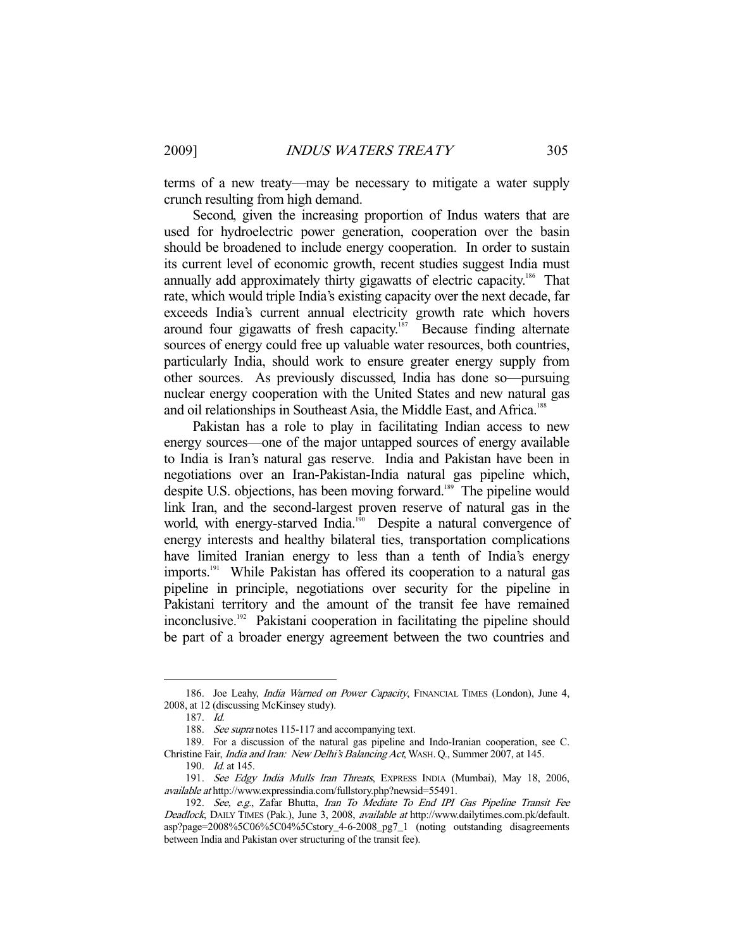terms of a new treaty—may be necessary to mitigate a water supply crunch resulting from high demand.

 Second, given the increasing proportion of Indus waters that are used for hydroelectric power generation, cooperation over the basin should be broadened to include energy cooperation. In order to sustain its current level of economic growth, recent studies suggest India must annually add approximately thirty gigawatts of electric capacity.186 That rate, which would triple India's existing capacity over the next decade, far exceeds India's current annual electricity growth rate which hovers around four gigawatts of fresh capacity.<sup>187</sup> Because finding alternate sources of energy could free up valuable water resources, both countries, particularly India, should work to ensure greater energy supply from other sources. As previously discussed, India has done so—pursuing nuclear energy cooperation with the United States and new natural gas and oil relationships in Southeast Asia, the Middle East, and Africa.<sup>188</sup>

 Pakistan has a role to play in facilitating Indian access to new energy sources—one of the major untapped sources of energy available to India is Iran's natural gas reserve. India and Pakistan have been in negotiations over an Iran-Pakistan-India natural gas pipeline which, despite U.S. objections, has been moving forward.<sup>189</sup> The pipeline would link Iran, and the second-largest proven reserve of natural gas in the world, with energy-starved India.<sup>190</sup> Despite a natural convergence of energy interests and healthy bilateral ties, transportation complications have limited Iranian energy to less than a tenth of India's energy imports.<sup>191</sup> While Pakistan has offered its cooperation to a natural gas pipeline in principle, negotiations over security for the pipeline in Pakistani territory and the amount of the transit fee have remained inconclusive.<sup>192</sup> Pakistani cooperation in facilitating the pipeline should be part of a broader energy agreement between the two countries and

<sup>186.</sup> Joe Leahy, India Warned on Power Capacity, FINANCIAL TIMES (London), June 4, 2008, at 12 (discussing McKinsey study).

 <sup>187.</sup> Id.

<sup>188.</sup> See supra notes 115-117 and accompanying text.

 <sup>189.</sup> For a discussion of the natural gas pipeline and Indo-Iranian cooperation, see C. Christine Fair, India and Iran: New Delhi's Balancing Act, WASH. Q., Summer 2007, at 145.

 <sup>190.</sup> Id. at 145.

 <sup>191.</sup> See Edgy India Mulls Iran Threats, EXPRESS INDIA (Mumbai), May 18, 2006, available at http://www.expressindia.com/fullstory.php?newsid=55491.

 <sup>192.</sup> See, e.g., Zafar Bhutta, Iran To Mediate To End IPI Gas Pipeline Transit Fee Deadlock, DAILY TIMES (Pak.), June 3, 2008, available at http://www.dailytimes.com.pk/default. asp?page=2008%5C06%5C04%5Cstory\_4-6-2008\_pg7\_1 (noting outstanding disagreements between India and Pakistan over structuring of the transit fee).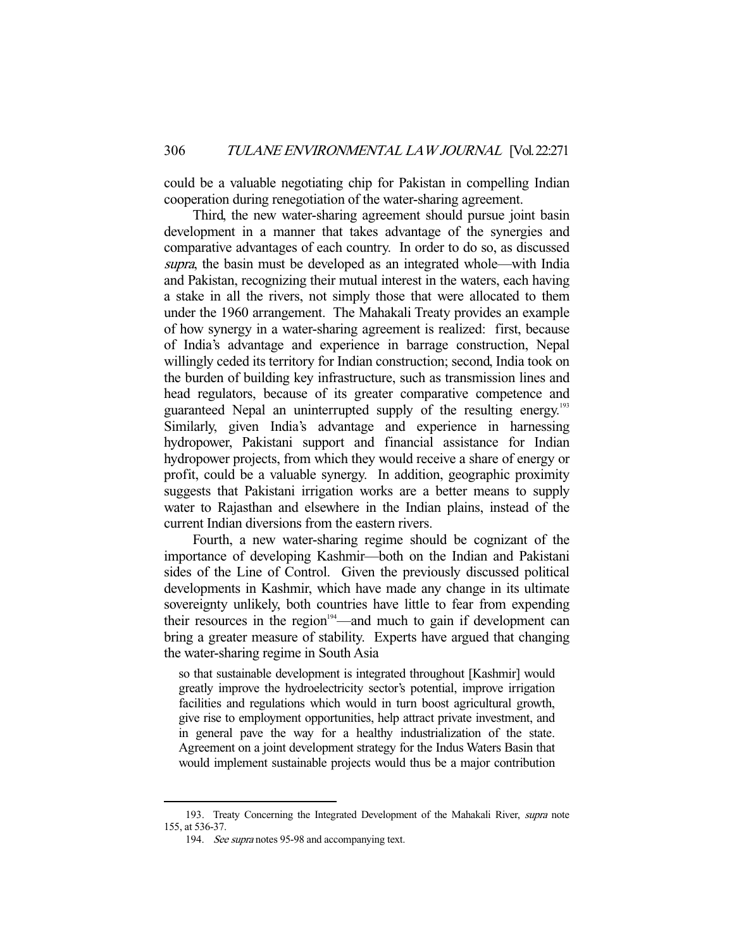could be a valuable negotiating chip for Pakistan in compelling Indian cooperation during renegotiation of the water-sharing agreement.

 Third, the new water-sharing agreement should pursue joint basin development in a manner that takes advantage of the synergies and comparative advantages of each country. In order to do so, as discussed supra, the basin must be developed as an integrated whole—with India and Pakistan, recognizing their mutual interest in the waters, each having a stake in all the rivers, not simply those that were allocated to them under the 1960 arrangement. The Mahakali Treaty provides an example of how synergy in a water-sharing agreement is realized: first, because of India's advantage and experience in barrage construction, Nepal willingly ceded its territory for Indian construction; second, India took on the burden of building key infrastructure, such as transmission lines and head regulators, because of its greater comparative competence and guaranteed Nepal an uninterrupted supply of the resulting energy.<sup>193</sup> Similarly, given India's advantage and experience in harnessing hydropower, Pakistani support and financial assistance for Indian hydropower projects, from which they would receive a share of energy or profit, could be a valuable synergy. In addition, geographic proximity suggests that Pakistani irrigation works are a better means to supply water to Rajasthan and elsewhere in the Indian plains, instead of the current Indian diversions from the eastern rivers.

 Fourth, a new water-sharing regime should be cognizant of the importance of developing Kashmir—both on the Indian and Pakistani sides of the Line of Control. Given the previously discussed political developments in Kashmir, which have made any change in its ultimate sovereignty unlikely, both countries have little to fear from expending their resources in the region $194$ —and much to gain if development can bring a greater measure of stability. Experts have argued that changing the water-sharing regime in South Asia

so that sustainable development is integrated throughout [Kashmir] would greatly improve the hydroelectricity sector's potential, improve irrigation facilities and regulations which would in turn boost agricultural growth, give rise to employment opportunities, help attract private investment, and in general pave the way for a healthy industrialization of the state. Agreement on a joint development strategy for the Indus Waters Basin that would implement sustainable projects would thus be a major contribution

<sup>193.</sup> Treaty Concerning the Integrated Development of the Mahakali River, *supra* note 155, at 536-37.

 <sup>194.</sup> See supra notes 95-98 and accompanying text.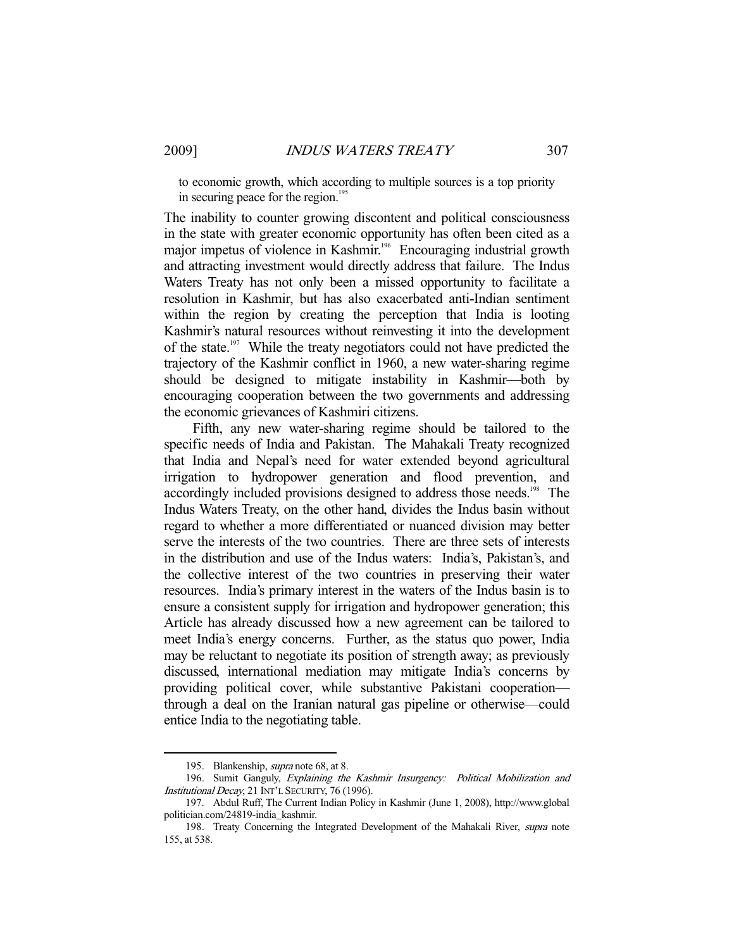to economic growth, which according to multiple sources is a top priority in securing peace for the region.<sup>195</sup>

The inability to counter growing discontent and political consciousness in the state with greater economic opportunity has often been cited as a major impetus of violence in Kashmir.<sup>196</sup> Encouraging industrial growth and attracting investment would directly address that failure. The Indus Waters Treaty has not only been a missed opportunity to facilitate a resolution in Kashmir, but has also exacerbated anti-Indian sentiment within the region by creating the perception that India is looting Kashmir's natural resources without reinvesting it into the development of the state.<sup>197</sup> While the treaty negotiators could not have predicted the trajectory of the Kashmir conflict in 1960, a new water-sharing regime should be designed to mitigate instability in Kashmir—both by encouraging cooperation between the two governments and addressing the economic grievances of Kashmiri citizens.

 Fifth, any new water-sharing regime should be tailored to the specific needs of India and Pakistan. The Mahakali Treaty recognized that India and Nepal's need for water extended beyond agricultural irrigation to hydropower generation and flood prevention, and accordingly included provisions designed to address those needs.<sup>198</sup> The Indus Waters Treaty, on the other hand, divides the Indus basin without regard to whether a more differentiated or nuanced division may better serve the interests of the two countries. There are three sets of interests in the distribution and use of the Indus waters: India's, Pakistan's, and the collective interest of the two countries in preserving their water resources. India's primary interest in the waters of the Indus basin is to ensure a consistent supply for irrigation and hydropower generation; this Article has already discussed how a new agreement can be tailored to meet India's energy concerns. Further, as the status quo power, India may be reluctant to negotiate its position of strength away; as previously discussed, international mediation may mitigate India's concerns by providing political cover, while substantive Pakistani cooperation through a deal on the Iranian natural gas pipeline or otherwise—could entice India to the negotiating table.

<sup>195.</sup> Blankenship, *supra* note 68, at 8.

<sup>196.</sup> Sumit Ganguly, Explaining the Kashmir Insurgency: Political Mobilization and Institutional Decay, 21 INT'L SECURITY, 76 (1996).

 <sup>197.</sup> Abdul Ruff, The Current Indian Policy in Kashmir (June 1, 2008), http://www.global politician.com/24819-india\_kashmir.

 <sup>198.</sup> Treaty Concerning the Integrated Development of the Mahakali River, supra note 155, at 538.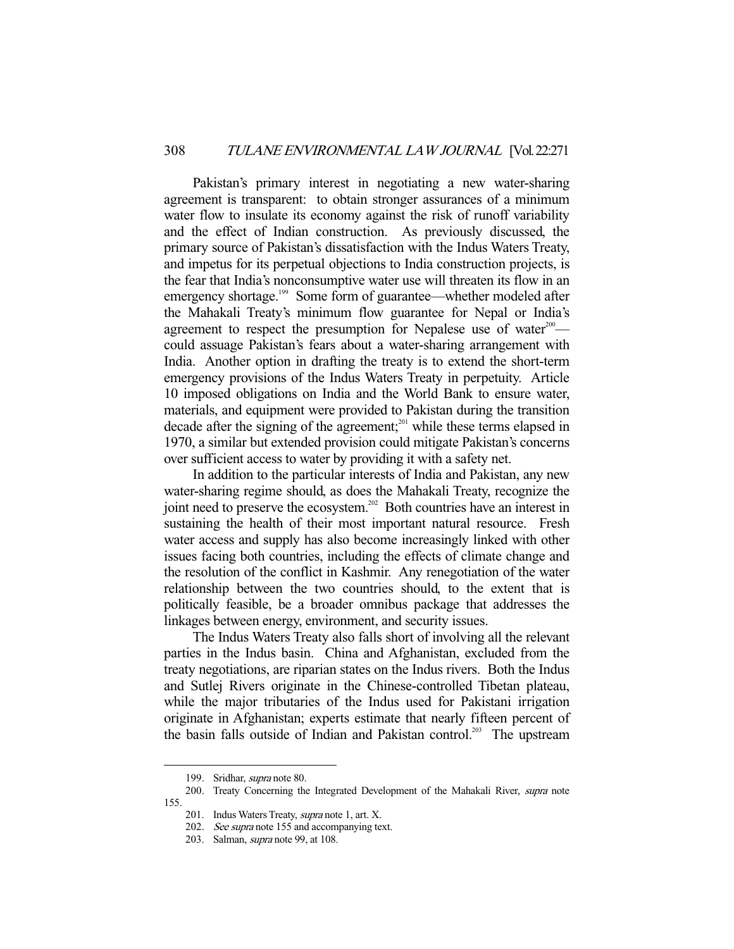Pakistan's primary interest in negotiating a new water-sharing agreement is transparent: to obtain stronger assurances of a minimum water flow to insulate its economy against the risk of runoff variability and the effect of Indian construction. As previously discussed, the primary source of Pakistan's dissatisfaction with the Indus Waters Treaty, and impetus for its perpetual objections to India construction projects, is the fear that India's nonconsumptive water use will threaten its flow in an emergency shortage.<sup>199</sup> Some form of guarantee—whether modeled after the Mahakali Treaty's minimum flow guarantee for Nepal or India's agreement to respect the presumption for Nepalese use of water<sup>200</sup> could assuage Pakistan's fears about a water-sharing arrangement with India. Another option in drafting the treaty is to extend the short-term emergency provisions of the Indus Waters Treaty in perpetuity. Article 10 imposed obligations on India and the World Bank to ensure water, materials, and equipment were provided to Pakistan during the transition decade after the signing of the agreement; $^{201}$  while these terms elapsed in 1970, a similar but extended provision could mitigate Pakistan's concerns over sufficient access to water by providing it with a safety net.

 In addition to the particular interests of India and Pakistan, any new water-sharing regime should, as does the Mahakali Treaty, recognize the joint need to preserve the ecosystem.<sup>202</sup> Both countries have an interest in sustaining the health of their most important natural resource. Fresh water access and supply has also become increasingly linked with other issues facing both countries, including the effects of climate change and the resolution of the conflict in Kashmir. Any renegotiation of the water relationship between the two countries should, to the extent that is politically feasible, be a broader omnibus package that addresses the linkages between energy, environment, and security issues.

 The Indus Waters Treaty also falls short of involving all the relevant parties in the Indus basin. China and Afghanistan, excluded from the treaty negotiations, are riparian states on the Indus rivers. Both the Indus and Sutlej Rivers originate in the Chinese-controlled Tibetan plateau, while the major tributaries of the Indus used for Pakistani irrigation originate in Afghanistan; experts estimate that nearly fifteen percent of the basin falls outside of Indian and Pakistan control.<sup>203</sup> The upstream

<sup>199.</sup> Sridhar, *supra* note 80.

<sup>200.</sup> Treaty Concerning the Integrated Development of the Mahakali River, supra note 155.

<sup>201.</sup> Indus Waters Treaty, *supra* note 1, art. X.

 <sup>202.</sup> See supra note 155 and accompanying text.

<sup>203.</sup> Salman, *supra* note 99, at 108.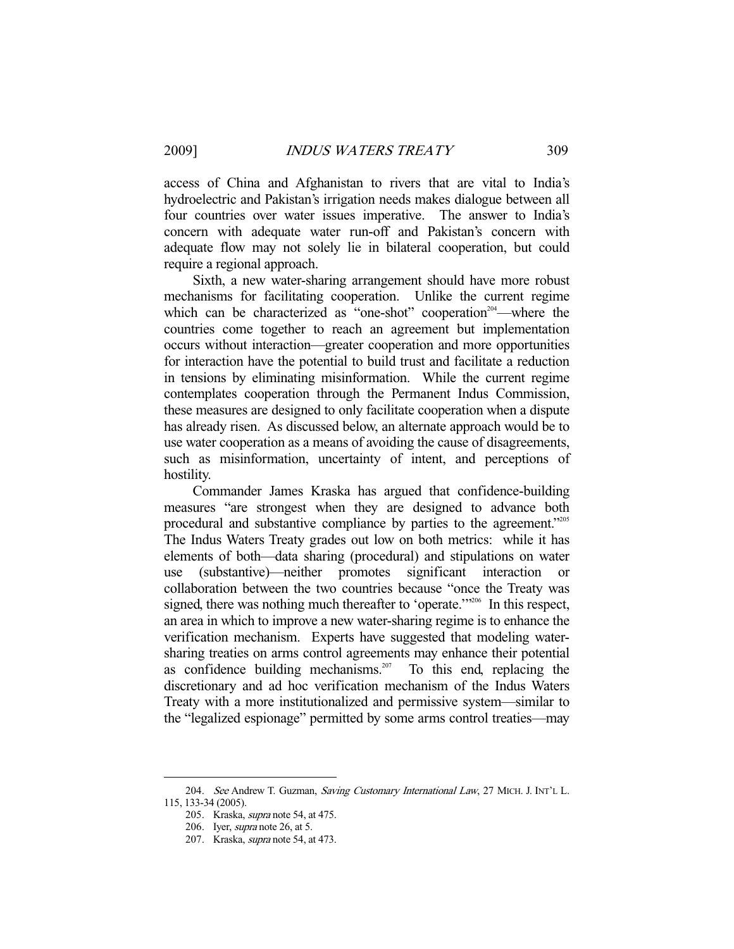access of China and Afghanistan to rivers that are vital to India's hydroelectric and Pakistan's irrigation needs makes dialogue between all four countries over water issues imperative. The answer to India's concern with adequate water run-off and Pakistan's concern with adequate flow may not solely lie in bilateral cooperation, but could require a regional approach.

 Sixth, a new water-sharing arrangement should have more robust mechanisms for facilitating cooperation. Unlike the current regime which can be characterized as "one-shot" cooperation<sup>204</sup>—where the countries come together to reach an agreement but implementation occurs without interaction—greater cooperation and more opportunities for interaction have the potential to build trust and facilitate a reduction in tensions by eliminating misinformation. While the current regime contemplates cooperation through the Permanent Indus Commission, these measures are designed to only facilitate cooperation when a dispute has already risen. As discussed below, an alternate approach would be to use water cooperation as a means of avoiding the cause of disagreements, such as misinformation, uncertainty of intent, and perceptions of hostility.

 Commander James Kraska has argued that confidence-building measures "are strongest when they are designed to advance both procedural and substantive compliance by parties to the agreement."<sup>205</sup> The Indus Waters Treaty grades out low on both metrics: while it has elements of both—data sharing (procedural) and stipulations on water use (substantive)—neither promotes significant interaction collaboration between the two countries because "once the Treaty was signed, there was nothing much thereafter to 'operate.'"<sup>206</sup> In this respect, an area in which to improve a new water-sharing regime is to enhance the verification mechanism. Experts have suggested that modeling watersharing treaties on arms control agreements may enhance their potential as confidence building mechanisms.<sup>207</sup> To this end, replacing the discretionary and ad hoc verification mechanism of the Indus Waters Treaty with a more institutionalized and permissive system—similar to the "legalized espionage" permitted by some arms control treaties—may

<sup>204.</sup> See Andrew T. Guzman, Saving Customary International Law, 27 MICH. J. INT'L L. 115, 133-34 (2005).

 <sup>205.</sup> Kraska, supra note 54, at 475.

 <sup>206.</sup> Iyer, supra note 26, at 5.

 <sup>207.</sup> Kraska, supra note 54, at 473.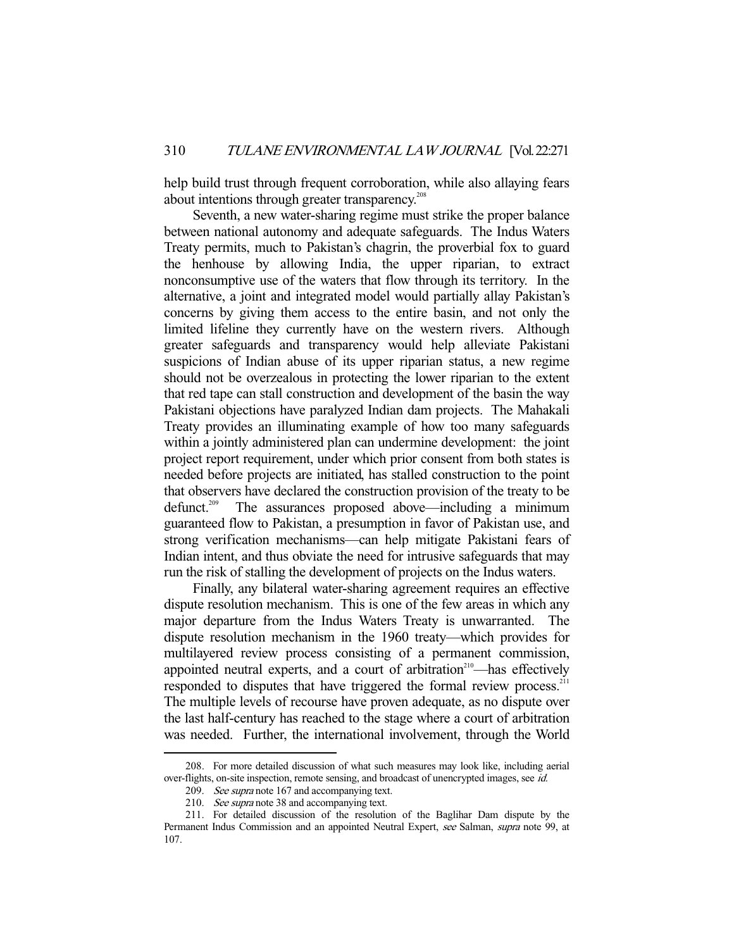help build trust through frequent corroboration, while also allaying fears about intentions through greater transparency.<sup>208</sup>

 Seventh, a new water-sharing regime must strike the proper balance between national autonomy and adequate safeguards. The Indus Waters Treaty permits, much to Pakistan's chagrin, the proverbial fox to guard the henhouse by allowing India, the upper riparian, to extract nonconsumptive use of the waters that flow through its territory. In the alternative, a joint and integrated model would partially allay Pakistan's concerns by giving them access to the entire basin, and not only the limited lifeline they currently have on the western rivers. Although greater safeguards and transparency would help alleviate Pakistani suspicions of Indian abuse of its upper riparian status, a new regime should not be overzealous in protecting the lower riparian to the extent that red tape can stall construction and development of the basin the way Pakistani objections have paralyzed Indian dam projects. The Mahakali Treaty provides an illuminating example of how too many safeguards within a jointly administered plan can undermine development: the joint project report requirement, under which prior consent from both states is needed before projects are initiated, has stalled construction to the point that observers have declared the construction provision of the treaty to be defunct.<sup>209</sup> The assurances proposed above—including a minimum guaranteed flow to Pakistan, a presumption in favor of Pakistan use, and strong verification mechanisms—can help mitigate Pakistani fears of Indian intent, and thus obviate the need for intrusive safeguards that may run the risk of stalling the development of projects on the Indus waters.

 Finally, any bilateral water-sharing agreement requires an effective dispute resolution mechanism. This is one of the few areas in which any major departure from the Indus Waters Treaty is unwarranted. The dispute resolution mechanism in the 1960 treaty—which provides for multilayered review process consisting of a permanent commission, appointed neutral experts, and a court of arbitration<sup>210</sup>—has effectively responded to disputes that have triggered the formal review process.<sup>211</sup> The multiple levels of recourse have proven adequate, as no dispute over the last half-century has reached to the stage where a court of arbitration was needed. Further, the international involvement, through the World

 <sup>208.</sup> For more detailed discussion of what such measures may look like, including aerial over-flights, on-site inspection, remote sensing, and broadcast of unencrypted images, see id.

<sup>209.</sup> See supra note 167 and accompanying text.

<sup>210.</sup> See supra note 38 and accompanying text.

 <sup>211.</sup> For detailed discussion of the resolution of the Baglihar Dam dispute by the Permanent Indus Commission and an appointed Neutral Expert, see Salman, supra note 99, at 107.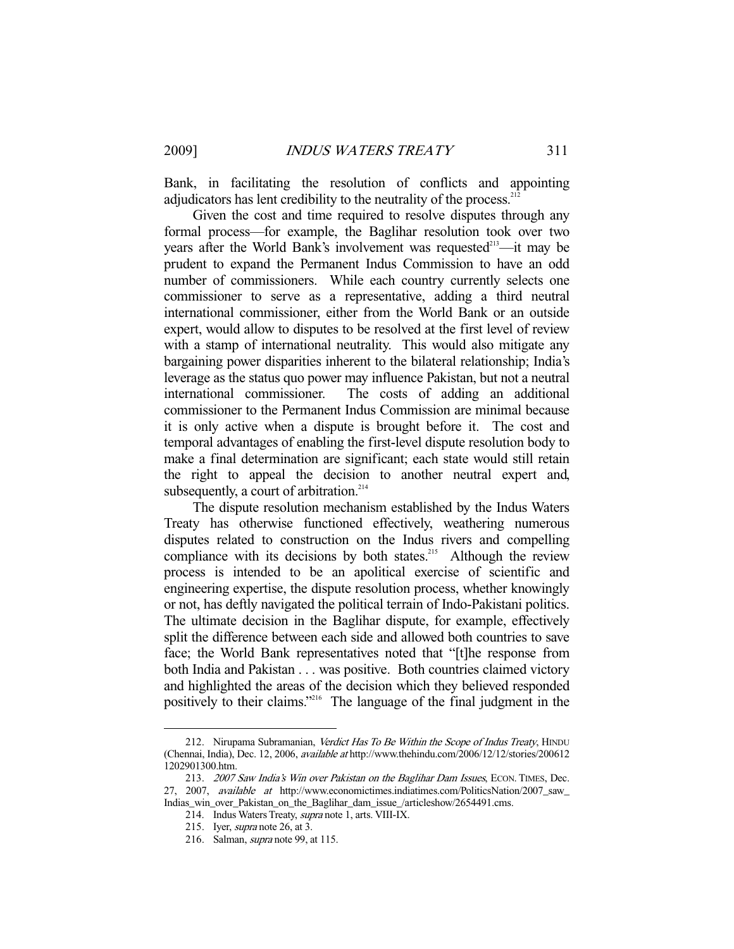Bank, in facilitating the resolution of conflicts and appointing adjudicators has lent credibility to the neutrality of the process.<sup>2</sup>

 Given the cost and time required to resolve disputes through any formal process—for example, the Baglihar resolution took over two years after the World Bank's involvement was requested $^{213}$ —it may be prudent to expand the Permanent Indus Commission to have an odd number of commissioners. While each country currently selects one commissioner to serve as a representative, adding a third neutral international commissioner, either from the World Bank or an outside expert, would allow to disputes to be resolved at the first level of review with a stamp of international neutrality. This would also mitigate any bargaining power disparities inherent to the bilateral relationship; India's leverage as the status quo power may influence Pakistan, but not a neutral international commissioner. The costs of adding an additional commissioner to the Permanent Indus Commission are minimal because it is only active when a dispute is brought before it. The cost and temporal advantages of enabling the first-level dispute resolution body to make a final determination are significant; each state would still retain the right to appeal the decision to another neutral expert and, subsequently, a court of arbitration. $214$ 

 The dispute resolution mechanism established by the Indus Waters Treaty has otherwise functioned effectively, weathering numerous disputes related to construction on the Indus rivers and compelling compliance with its decisions by both states.<sup>215</sup> Although the review process is intended to be an apolitical exercise of scientific and engineering expertise, the dispute resolution process, whether knowingly or not, has deftly navigated the political terrain of Indo-Pakistani politics. The ultimate decision in the Baglihar dispute, for example, effectively split the difference between each side and allowed both countries to save face; the World Bank representatives noted that "[t]he response from both India and Pakistan . . . was positive. Both countries claimed victory and highlighted the areas of the decision which they believed responded positively to their claims."216 The language of the final judgment in the

<sup>212.</sup> Nirupama Subramanian, Verdict Has To Be Within the Scope of Indus Treaty, HINDU (Chennai, India), Dec. 12, 2006, available at http://www.thehindu.com/2006/12/12/stories/200612 1202901300.htm.

<sup>213. 2007</sup> Saw India's Win over Pakistan on the Baglihar Dam Issues, ECON. TIMES, Dec. 27, 2007, available at http://www.economictimes.indiatimes.com/PoliticsNation/2007\_saw\_ Indias\_win\_over\_Pakistan\_on\_the\_Baglihar\_dam\_issue\_/articleshow/2654491.cms.

 <sup>214.</sup> Indus Waters Treaty, supra note 1, arts. VIII-IX.

 <sup>215.</sup> Iyer, supra note 26, at 3.

 <sup>216.</sup> Salman, supra note 99, at 115.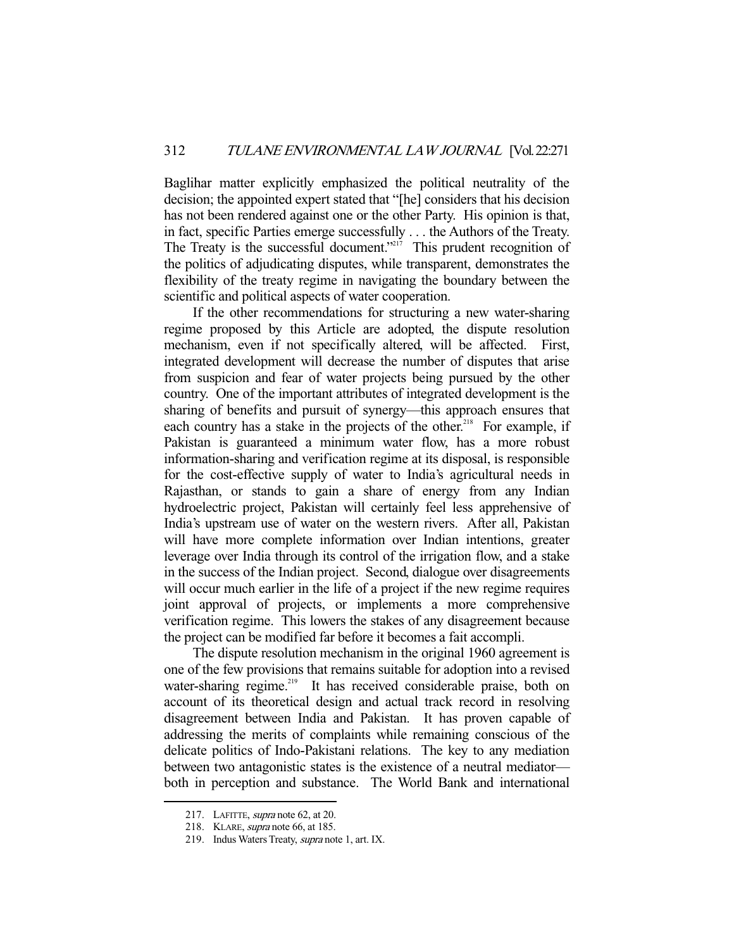Baglihar matter explicitly emphasized the political neutrality of the decision; the appointed expert stated that "[he] considers that his decision has not been rendered against one or the other Party. His opinion is that, in fact, specific Parties emerge successfully . . . the Authors of the Treaty. The Treaty is the successful document."<sup>217</sup> This prudent recognition of the politics of adjudicating disputes, while transparent, demonstrates the flexibility of the treaty regime in navigating the boundary between the scientific and political aspects of water cooperation.

 If the other recommendations for structuring a new water-sharing regime proposed by this Article are adopted, the dispute resolution mechanism, even if not specifically altered, will be affected. First, integrated development will decrease the number of disputes that arise from suspicion and fear of water projects being pursued by the other country. One of the important attributes of integrated development is the sharing of benefits and pursuit of synergy—this approach ensures that each country has a stake in the projects of the other.<sup>218</sup> For example, if Pakistan is guaranteed a minimum water flow, has a more robust information-sharing and verification regime at its disposal, is responsible for the cost-effective supply of water to India's agricultural needs in Rajasthan, or stands to gain a share of energy from any Indian hydroelectric project, Pakistan will certainly feel less apprehensive of India's upstream use of water on the western rivers. After all, Pakistan will have more complete information over Indian intentions, greater leverage over India through its control of the irrigation flow, and a stake in the success of the Indian project. Second, dialogue over disagreements will occur much earlier in the life of a project if the new regime requires joint approval of projects, or implements a more comprehensive verification regime. This lowers the stakes of any disagreement because the project can be modified far before it becomes a fait accompli.

 The dispute resolution mechanism in the original 1960 agreement is one of the few provisions that remains suitable for adoption into a revised water-sharing regime.<sup>219</sup> It has received considerable praise, both on account of its theoretical design and actual track record in resolving disagreement between India and Pakistan. It has proven capable of addressing the merits of complaints while remaining conscious of the delicate politics of Indo-Pakistani relations. The key to any mediation between two antagonistic states is the existence of a neutral mediator both in perception and substance. The World Bank and international

<sup>217.</sup> LAFITTE, *supra* note 62, at 20.

 <sup>218.</sup> KLARE, supra note 66, at 185.

 <sup>219.</sup> Indus Waters Treaty, supra note 1, art. IX.